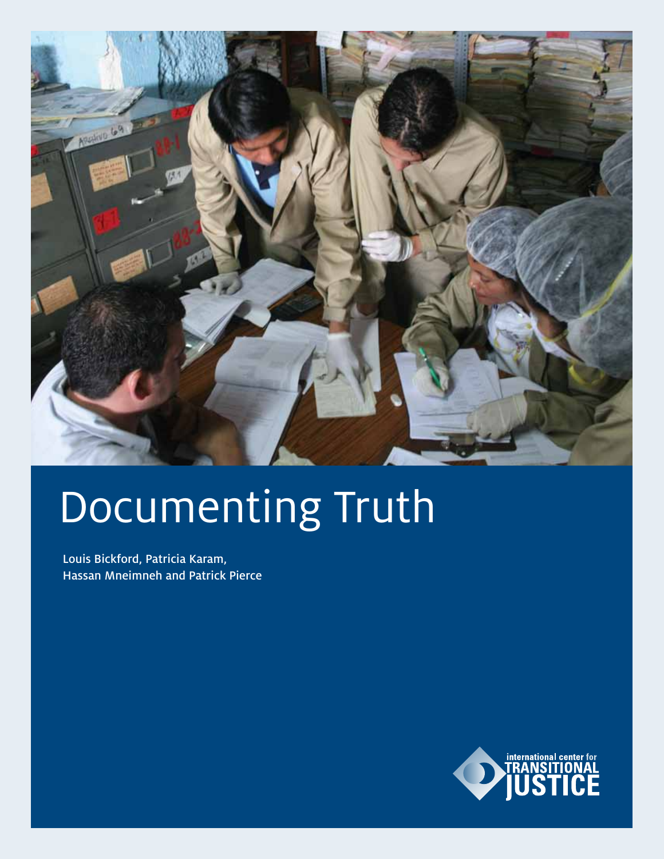

# Documenting Truth

Louis Bickford, Patricia Karam, Hassan Mneimneh and Patrick Pierce

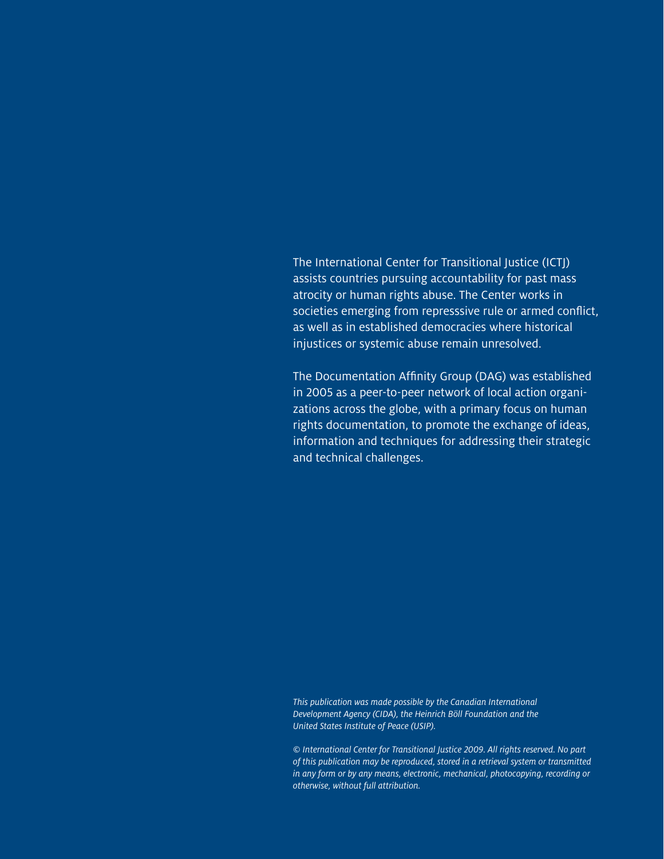The International Center for Transitional Justice (ICTJ) assists countries pursuing accountability for past mass atrocity or human rights abuse. The Center works in societies emerging from represssive rule or armed conflict, as well as in established democracies where historical injustices or systemic abuse remain unresolved.

The Documentation Affinity Group (DAG) was established in 2005 as a peer-to-peer network of local action organizations across the globe, with a primary focus on human rights documentation, to promote the exchange of ideas, information and techniques for addressing their strategic and technical challenges.

*This publication was made possible by the Canadian International Development Agency (CIDA), the Heinrich Böll Foundation and the United States Institute of Peace (USIP).*

*© International Center for Transitional Justice 2009. All rights reserved. No part of this publication may be reproduced, stored in a retrieval system or transmitted in any form or by any means, electronic, mechanical, photocopying, recording or otherwise, without full attribution.*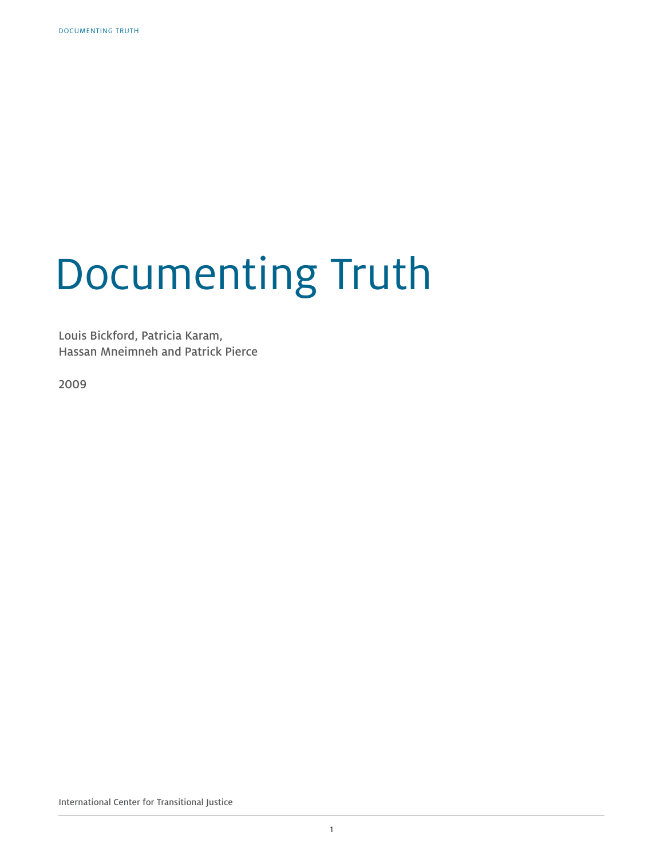# Documenting Truth

Louis Bickford, Patricia Karam, Hassan Mneimneh and Patrick Pierce

2009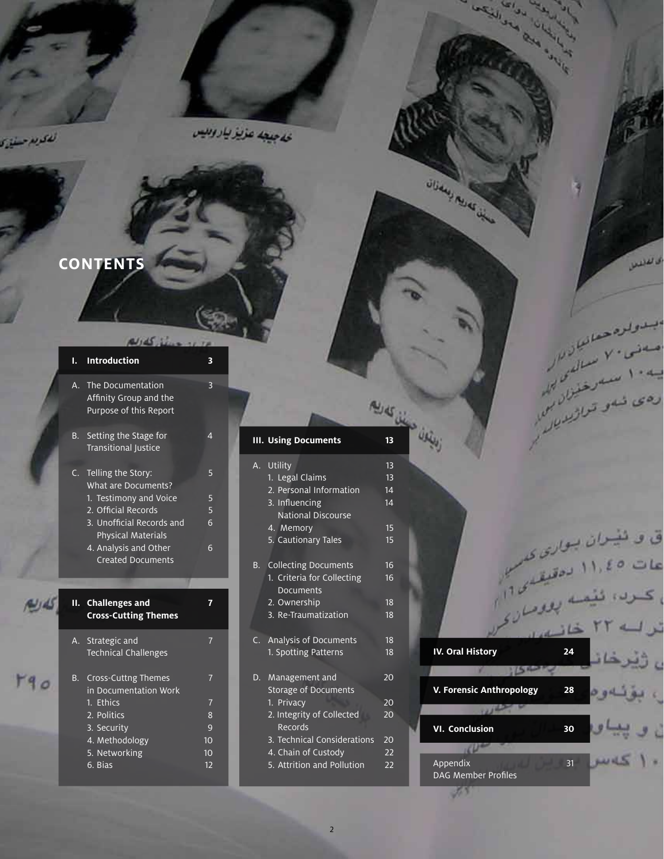لفقوله سينبذه

ى جىچە عۇيغ يادەبىس

# **contents**

International Center for Transitional Justice

| $\Delta$ | The Documentation<br>Affinity Group and the<br>Purpose of this Report |  |
|----------|-----------------------------------------------------------------------|--|
| В.       | Setting the Stage for<br><b>Transitional Justice</b>                  |  |
|          | C. Telling the Story:                                                 |  |

# What are Documents? 1. Testimony and Voice 5 2. Official Records 5 3. Unofficial Records and 6

- Physical Materials 4. Analysis and Other 6
- Created Documents

تصريع

 $190$ 

|    | II. Challenges and<br><b>Cross-Cutting Themes</b>   |    |
|----|-----------------------------------------------------|----|
|    | A. Strategic and<br><b>Technical Challenges</b>     |    |
| B. | <b>Cross-Cuttng Themes</b><br>in Documentation Work | 7  |
|    | 1. Ethics                                           | 7  |
|    | 2. Politics                                         | 8  |
|    | 3. Security                                         | 9  |
|    | 4. Methodology                                      | 10 |
|    | 5. Networking                                       | 10 |
|    | 6. Bias                                             | 12 |

|           | <b>III. Using Documents</b>          | 13               |
|-----------|--------------------------------------|------------------|
| $A_{1}$   | Utility                              | 13               |
|           | 1. Legal Claims                      | 13               |
|           | 2. Personal Information              | 14               |
|           | 3. Influencing                       | 14               |
|           | <b>National Discourse</b>            |                  |
|           | 4. Memory                            | 15               |
|           | 5. Cautionary Tales                  | 15               |
| <b>B.</b> | <b>Collecting Documents</b>          | 16               |
|           | 1. Criteria for Collecting           | 16               |
|           | Documents                            |                  |
|           | 2. Ownership                         | 18               |
|           | 3. Re-Traumatization                 | 18               |
|           | C. Analysis of Documents             | 18               |
|           | 1. Spotting Patterns                 | 18               |
| D.        | Management and                       | 20               |
|           | <b>Storage of Documents</b>          |                  |
|           | 1. Privacy                           | 20               |
|           | 2. Integrity of Collected<br>Records | 20               |
|           | 3. Technical Considerations          | $\overline{2}$ Q |
|           | 4. Chain of Custody                  | 22               |
|           | 5. Attrition and Pollution           | 22               |



All Sales Report

9

لمعاني<br>شيول المجلد خفیزان<br>خفیزان بهم<br>مراکزیون بهم

ىلى تىراشىنىڭ بەد<br>ئىس تىراشىدىل

فالفلفيل

بسدوا

Slikely Roll de

**Using**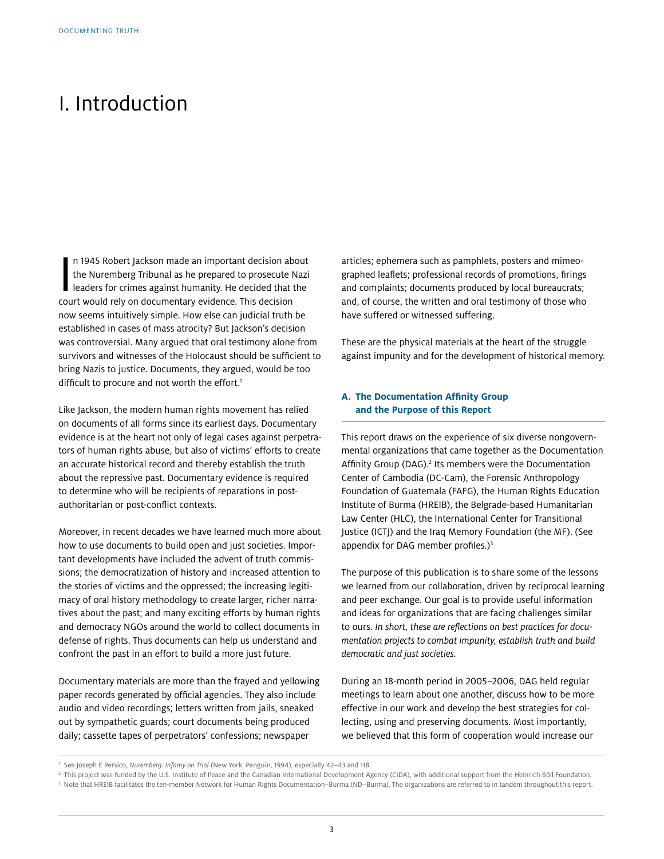# I. Introduction

n 1945 Robert Jackson made an important decision ab<br>the Nuremberg Tribunal as he prepared to prosecute N<br>leaders for crimes against humanity. He decided that t<br>court would rely on documentary evidence. This decision n 1945 Robert Jackson made an important decision about the Nuremberg Tribunal as he prepared to prosecute Nazi leaders for crimes against humanity. He decided that the now seems intuitively simple. How else can judicial truth be established in cases of mass atrocity? But Jackson's decision was controversial. Many argued that oral testimony alone from survivors and witnesses of the Holocaust should be sufficient to bring Nazis to justice. Documents, they argued, would be too difficult to procure and not worth the effort.<sup>1</sup>

Like Jackson, the modern human rights movement has relied on documents of all forms since its earliest days. Documentary evidence is at the heart not only of legal cases against perpetrators of human rights abuse, but also of victims' efforts to create an accurate historical record and thereby establish the truth about the repressive past. Documentary evidence is required to determine who will be recipients of reparations in postauthoritarian or post-conflict contexts.

Moreover, in recent decades we have learned much more about how to use documents to build open and just societies. Important developments have included the advent of truth commissions; the democratization of history and increased attention to the stories of victims and the oppressed; the increasing legitimacy of oral history methodology to create larger, richer narratives about the past; and many exciting efforts by human rights and democracy NGOs around the world to collect documents in defense of rights. Thus documents can help us understand and confront the past in an effort to build a more just future.

Documentary materials are more than the frayed and yellowing paper records generated by official agencies. They also include audio and video recordings; letters written from jails, sneaked out by sympathetic guards; court documents being produced daily; cassette tapes of perpetrators' confessions; newspaper

articles; ephemera such as pamphlets, posters and mimeographed leaflets; professional records of promotions, firings and complaints; documents produced by local bureaucrats; and, of course, the written and oral testimony of those who have suffered or witnessed suffering.

These are the physical materials at the heart of the struggle against impunity and for the development of historical memory.

# **A. The Documentation Affinity Group and the Purpose of this Report**

This report draws on the experience of six diverse nongovernmental organizations that came together as the Documentation Affinity Group (DAG).<sup>2</sup> Its members were the Documentation Center of Cambodia (DC-Cam), the Forensic Anthropology Foundation of Guatemala (FAFG), the Human Rights Education Institute of Burma (HREIB), the Belgrade-based Humanitarian Law Center (HLC), the International Center for Transitional Justice (ICTJ) and the Iraq Memory Foundation (the MF). (See appendix for DAG member profiles.)<sup>3</sup>

The purpose of this publication is to share some of the lessons we learned from our collaboration, driven by reciprocal learning and peer exchange. Our goal is to provide useful information and ideas for organizations that are facing challenges similar to ours. *In short, these are reflections on best practices for documentation projects to combat impunity, establish truth and build democratic and just societies.*

During an 18-month period in 2005–2006, DAG held regular meetings to learn about one another, discuss how to be more effective in our work and develop the best strategies for collecting, using and preserving documents. Most importantly, we believed that this form of cooperation would increase our

<sup>1</sup> See Joseph E Persico, *Nuremberg: Infamy on Trial* (New York: Penguin, 1994), especially 42–43 and 118.

<sup>&</sup>lt;sup>2</sup> This project was funded by the U.S. Institute of Peace and the Canadian International Development Agency (CIDA), with additional support from the Heinrich Böll Foundation.<br><sup>3</sup> Note that HREIB facilitates the ten-member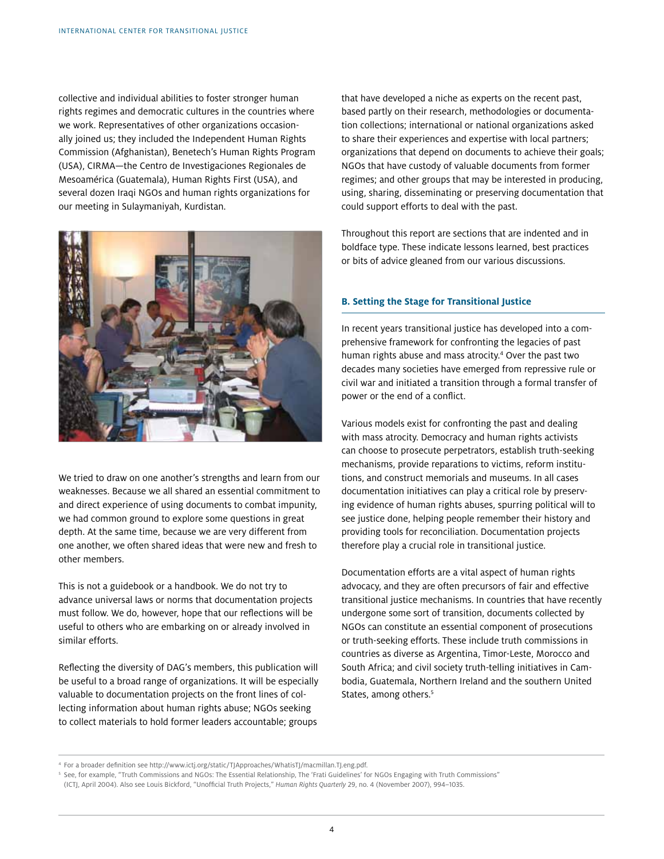collective and individual abilities to foster stronger human rights regimes and democratic cultures in the countries where we work. Representatives of other organizations occasionally joined us; they included the Independent Human Rights Commission (Afghanistan), Benetech's Human Rights Program (USA), CIRMA—the Centro de Investigaciones Regionales de Mesoamérica (Guatemala), Human Rights First (USA), and several dozen Iraqi NGOs and human rights organizations for our meeting in Sulaymaniyah, Kurdistan.



We tried to draw on one another's strengths and learn from our weaknesses. Because we all shared an essential commitment to and direct experience of using documents to combat impunity, we had common ground to explore some questions in great depth. At the same time, because we are very different from one another, we often shared ideas that were new and fresh to other members.

This is not a guidebook or a handbook. We do not try to advance universal laws or norms that documentation projects must follow. We do, however, hope that our reflections will be useful to others who are embarking on or already involved in similar efforts.

Reflecting the diversity of DAG's members, this publication will be useful to a broad range of organizations. It will be especially valuable to documentation projects on the front lines of collecting information about human rights abuse; NGOs seeking to collect materials to hold former leaders accountable; groups

that have developed a niche as experts on the recent past, based partly on their research, methodologies or documentation collections; international or national organizations asked to share their experiences and expertise with local partners; organizations that depend on documents to achieve their goals; NGOs that have custody of valuable documents from former regimes; and other groups that may be interested in producing, using, sharing, disseminating or preserving documentation that could support efforts to deal with the past.

Throughout this report are sections that are indented and in boldface type. These indicate lessons learned, best practices or bits of advice gleaned from our various discussions.

# **B. Setting the Stage for Transitional Justice**

In recent years transitional justice has developed into a comprehensive framework for confronting the legacies of past human rights abuse and mass atrocity.<sup>4</sup> Over the past two decades many societies have emerged from repressive rule or civil war and initiated a transition through a formal transfer of power or the end of a conflict.

Various models exist for confronting the past and dealing with mass atrocity. Democracy and human rights activists can choose to prosecute perpetrators, establish truth-seeking mechanisms, provide reparations to victims, reform institutions, and construct memorials and museums. In all cases documentation initiatives can play a critical role by preserving evidence of human rights abuses, spurring political will to see justice done, helping people remember their history and providing tools for reconciliation. Documentation projects therefore play a crucial role in transitional justice.

Documentation efforts are a vital aspect of human rights advocacy, and they are often precursors of fair and effective transitional justice mechanisms. In countries that have recently undergone some sort of transition, documents collected by NGOs can constitute an essential component of prosecutions or truth-seeking efforts. These include truth commissions in countries as diverse as Argentina, Timor-Leste, Morocco and South Africa; and civil society truth-telling initiatives in Cambodia, Guatemala, Northern Ireland and the southern United States, among others.<sup>5</sup>

<sup>4</sup> For a broader definition see http://www.ictj.org/static/TJApproaches/WhatisTJ/macmillan.TJ.eng.pdf.

<sup>5</sup> See, for example, "Truth Commissions and NGOs: The Essential Relationship, The 'Frati Guidelines' for NGOs Engaging with Truth Commissions"

<sup>(</sup>ICTJ, April 2004). Also see Louis Bickford, "Unofficial Truth Projects," *Human Rights Quarterly* 29, no. 4 (November 2007), 994–1035.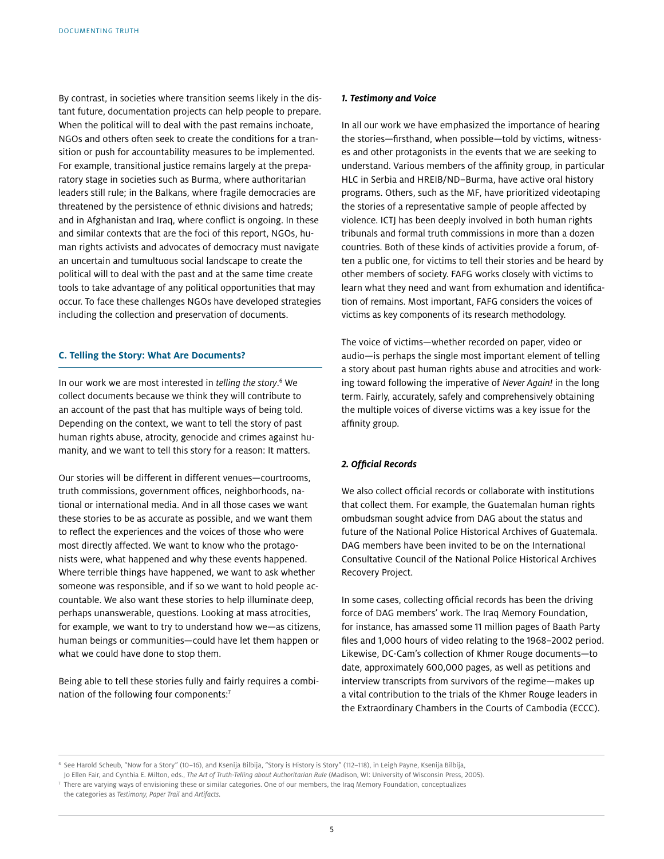By contrast, in societies where transition seems likely in the distant future, documentation projects can help people to prepare. When the political will to deal with the past remains inchoate, NGOs and others often seek to create the conditions for a transition or push for accountability measures to be implemented. For example, transitional justice remains largely at the preparatory stage in societies such as Burma, where authoritarian leaders still rule; in the Balkans, where fragile democracies are threatened by the persistence of ethnic divisions and hatreds; and in Afghanistan and Iraq, where conflict is ongoing. In these and similar contexts that are the foci of this report, NGOs, human rights activists and advocates of democracy must navigate an uncertain and tumultuous social landscape to create the political will to deal with the past and at the same time create tools to take advantage of any political opportunities that may occur. To face these challenges NGOs have developed strategies including the collection and preservation of documents.

#### **C. Telling the Story: What Are Documents?**

In our work we are most interested in *telling the story*.<sup>6</sup> We collect documents because we think they will contribute to an account of the past that has multiple ways of being told. Depending on the context, we want to tell the story of past human rights abuse, atrocity, genocide and crimes against humanity, and we want to tell this story for a reason: It matters.

Our stories will be different in different venues—courtrooms, truth commissions, government offices, neighborhoods, national or international media. And in all those cases we want these stories to be as accurate as possible, and we want them to reflect the experiences and the voices of those who were most directly affected. We want to know who the protagonists were, what happened and why these events happened. Where terrible things have happened, we want to ask whether someone was responsible, and if so we want to hold people accountable. We also want these stories to help illuminate deep, perhaps unanswerable, questions. Looking at mass atrocities, for example, we want to try to understand how we—as citizens, human beings or communities—could have let them happen or what we could have done to stop them.

Being able to tell these stories fully and fairly requires a combination of the following four components:<sup>7</sup>

#### *1. Testimony and Voice*

In all our work we have emphasized the importance of hearing the stories—firsthand, when possible—told by victims, witnesses and other protagonists in the events that we are seeking to understand. Various members of the affinity group, in particular HLC in Serbia and HREIB/ND–Burma, have active oral history programs. Others, such as the MF, have prioritized videotaping the stories of a representative sample of people affected by violence. ICTJ has been deeply involved in both human rights tribunals and formal truth commissions in more than a dozen countries. Both of these kinds of activities provide a forum, often a public one, for victims to tell their stories and be heard by other members of society. FAFG works closely with victims to learn what they need and want from exhumation and identification of remains. Most important, FAFG considers the voices of victims as key components of its research methodology.

The voice of victims—whether recorded on paper, video or audio—is perhaps the single most important element of telling a story about past human rights abuse and atrocities and working toward following the imperative of *Never Again!* in the long term. Fairly, accurately, safely and comprehensively obtaining the multiple voices of diverse victims was a key issue for the affinity group.

# *2. Official Records*

We also collect official records or collaborate with institutions that collect them. For example, the Guatemalan human rights ombudsman sought advice from DAG about the status and future of the National Police Historical Archives of Guatemala. DAG members have been invited to be on the International Consultative Council of the National Police Historical Archives Recovery Project.

In some cases, collecting official records has been the driving force of DAG members' work. The Iraq Memory Foundation, for instance, has amassed some 11 million pages of Baath Party files and 1,000 hours of video relating to the 1968–2002 period. Likewise, DC-Cam's collection of Khmer Rouge documents—to date, approximately 600,000 pages, as well as petitions and interview transcripts from survivors of the regime—makes up a vital contribution to the trials of the Khmer Rouge leaders in the Extraordinary Chambers in the Courts of Cambodia (ECCC).

<sup>6</sup> See Harold Scheub, "Now for a Story" (10–16), and Ksenija Bilbija, "Story is History is Story" (112–118), in Leigh Payne, Ksenija Bilbija,

Jo Ellen Fair, and Cynthia E. Milton, eds., The Art of Truth-Telling about Authoritarian Rule (Madison, WI: University of Wisconsin Press, 2005).<br>There are varying ways of envisioning these or similar categories. One of ou

the categories as *Testimony, Paper Trail* and *Artifacts.*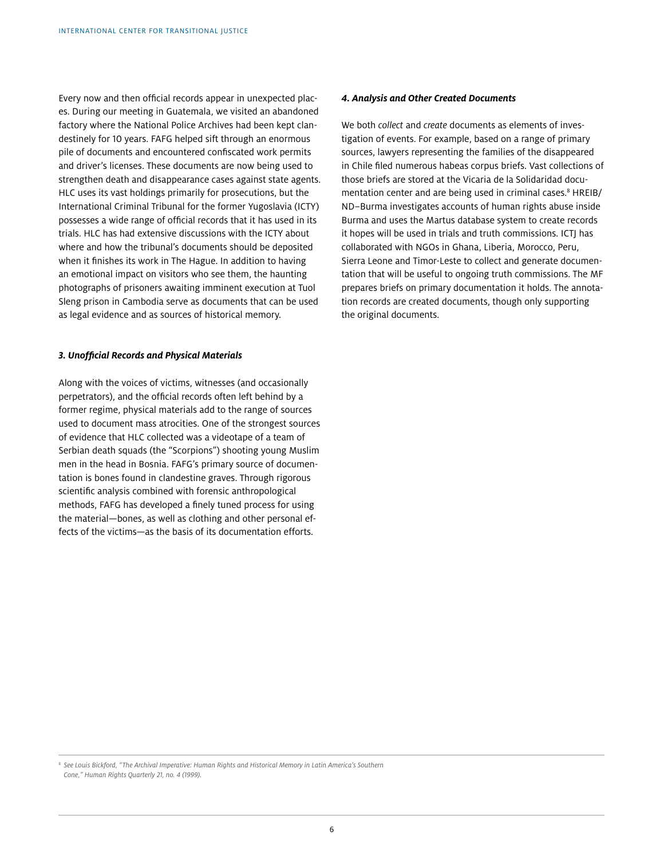Every now and then official records appear in unexpected places. During our meeting in Guatemala, we visited an abandoned factory where the National Police Archives had been kept clandestinely for 10 years. FAFG helped sift through an enormous pile of documents and encountered confiscated work permits and driver's licenses. These documents are now being used to strengthen death and disappearance cases against state agents. HLC uses its vast holdings primarily for prosecutions, but the International Criminal Tribunal for the former Yugoslavia (ICTY) possesses a wide range of official records that it has used in its trials. HLC has had extensive discussions with the ICTY about where and how the tribunal's documents should be deposited when it finishes its work in The Hague. In addition to having an emotional impact on visitors who see them, the haunting photographs of prisoners awaiting imminent execution at Tuol Sleng prison in Cambodia serve as documents that can be used as legal evidence and as sources of historical memory.

#### *3. Unofficial Records and Physical Materials*

Along with the voices of victims, witnesses (and occasionally perpetrators), and the official records often left behind by a former regime, physical materials add to the range of sources used to document mass atrocities. One of the strongest sources of evidence that HLC collected was a videotape of a team of Serbian death squads (the "Scorpions") shooting young Muslim men in the head in Bosnia. FAFG's primary source of documentation is bones found in clandestine graves. Through rigorous scientific analysis combined with forensic anthropological methods, FAFG has developed a finely tuned process for using the material—bones, as well as clothing and other personal effects of the victims—as the basis of its documentation efforts.

#### *4. Analysis and Other Created Documents*

We both *collect* and *create* documents as elements of investigation of events. For example, based on a range of primary sources, lawyers representing the families of the disappeared in Chile filed numerous habeas corpus briefs. Vast collections of those briefs are stored at the Vicaria de la Solidaridad documentation center and are being used in criminal cases.<sup>8</sup> HREIB/ ND–Burma investigates accounts of human rights abuse inside Burma and uses the Martus database system to create records it hopes will be used in trials and truth commissions. ICTJ has collaborated with NGOs in Ghana, Liberia, Morocco, Peru, Sierra Leone and Timor-Leste to collect and generate documentation that will be useful to ongoing truth commissions. The MF prepares briefs on primary documentation it holds. The annotation records are created documents, though only supporting the original documents.

<sup>8</sup>*See Louis Bickford, "The Archival Imperative: Human Rights and Historical Memory in Latin America's Southern Cone," Human Rights Quarterly 21, no. 4 (1999).*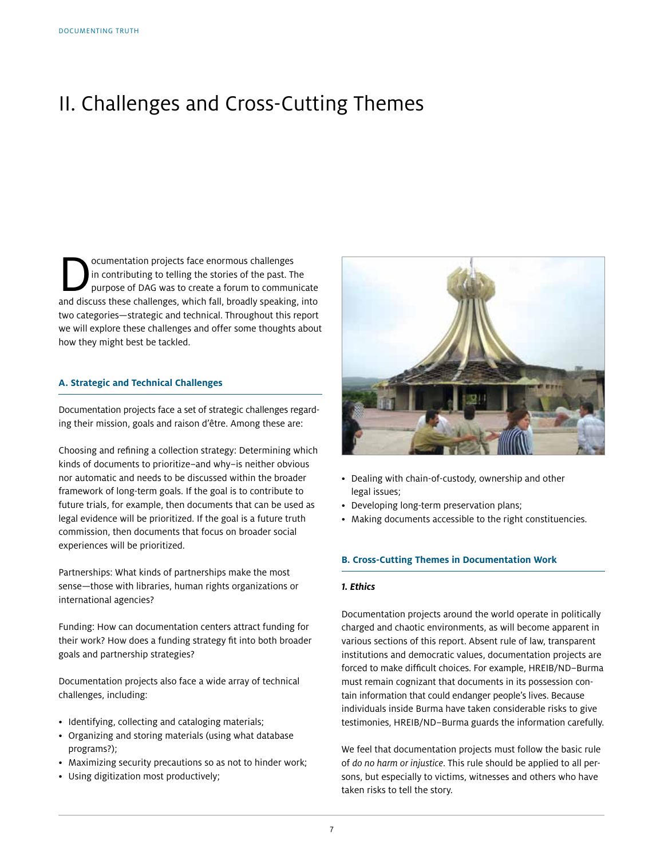# II. Challenges and Cross-Cutting Themes

**D** coumentation projects face enormous challenges<br>in contributing to telling the stories of the past. The<br>purpose of DAG was to create a forum to community<br>and discuss these challenges, which fall, broadly speaking in contributing to telling the stories of the past. The purpose of DAG was to create a forum to communicate and discuss these challenges, which fall, broadly speaking, into two categories—strategic and technical. Throughout this report we will explore these challenges and offer some thoughts about how they might best be tackled.

# **A. Strategic and Technical Challenges**

Documentation projects face a set of strategic challenges regarding their mission, goals and raison d'être. Among these are:

Choosing and refining a collection strategy: Determining which kinds of documents to prioritize–and why–is neither obvious nor automatic and needs to be discussed within the broader framework of long-term goals. If the goal is to contribute to future trials, for example, then documents that can be used as legal evidence will be prioritized. If the goal is a future truth commission, then documents that focus on broader social experiences will be prioritized.

Partnerships: What kinds of partnerships make the most sense—those with libraries, human rights organizations or international agencies?

Funding: How can documentation centers attract funding for their work? How does a funding strategy fit into both broader goals and partnership strategies?

Documentation projects also face a wide array of technical challenges, including:

- Identifying, collecting and cataloging materials;
- Organizing and storing materials (using what database programs?);
- Maximizing security precautions so as not to hinder work;
- • Using digitization most productively;



- Dealing with chain-of-custody, ownership and other legal issues;
- Developing long-term preservation plans;
- Making documents accessible to the right constituencies.

# **B. Cross-Cutting Themes in Documentation Work**

#### *1. Ethics*

Documentation projects around the world operate in politically charged and chaotic environments, as will become apparent in various sections of this report. Absent rule of law, transparent institutions and democratic values, documentation projects are forced to make difficult choices. For example, HREIB/ND–Burma must remain cognizant that documents in its possession contain information that could endanger people's lives. Because individuals inside Burma have taken considerable risks to give testimonies, HREIB/ND–Burma guards the information carefully.

We feel that documentation projects must follow the basic rule of *do no harm or injustice*. This rule should be applied to all persons, but especially to victims, witnesses and others who have taken risks to tell the story.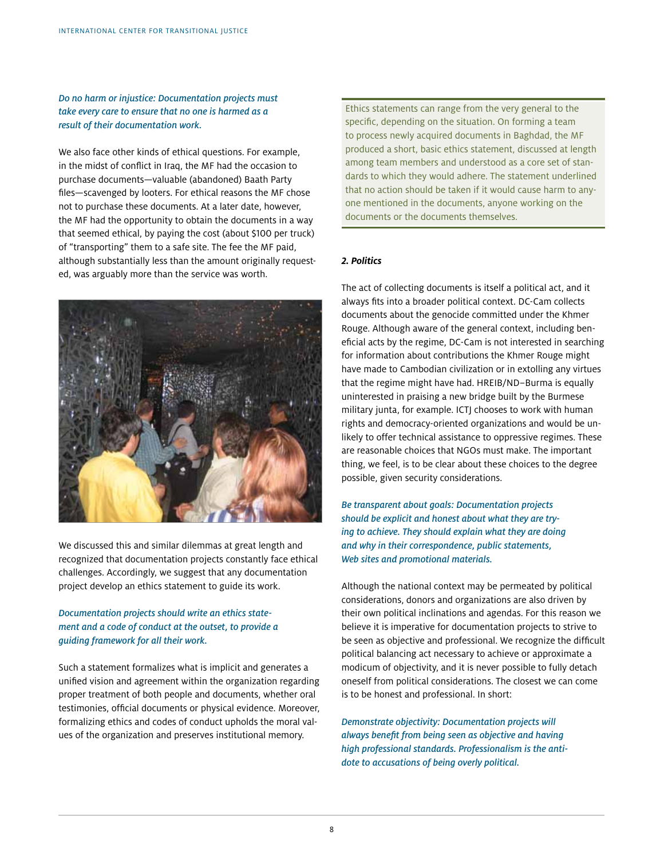# *Do no harm or injustice: Documentation projects must take every care to ensure that no one is harmed as a result of their documentation work.*

We also face other kinds of ethical questions. For example, in the midst of conflict in Iraq, the MF had the occasion to purchase documents—valuable (abandoned) Baath Party files—scavenged by looters. For ethical reasons the MF chose not to purchase these documents. At a later date, however, the MF had the opportunity to obtain the documents in a way that seemed ethical, by paying the cost (about \$100 per truck) of "transporting" them to a safe site. The fee the MF paid, although substantially less than the amount originally requested, was arguably more than the service was worth.



We discussed this and similar dilemmas at great length and recognized that documentation projects constantly face ethical challenges. Accordingly, we suggest that any documentation project develop an ethics statement to guide its work.

# *Documentation projects should write an ethics statement and a code of conduct at the outset, to provide a guiding framework for all their work.*

Such a statement formalizes what is implicit and generates a unified vision and agreement within the organization regarding proper treatment of both people and documents, whether oral testimonies, official documents or physical evidence. Moreover, formalizing ethics and codes of conduct upholds the moral values of the organization and preserves institutional memory.

Ethics statements can range from the very general to the specific, depending on the situation. On forming a team to process newly acquired documents in Baghdad, the MF produced a short, basic ethics statement, discussed at length among team members and understood as a core set of standards to which they would adhere. The statement underlined that no action should be taken if it would cause harm to anyone mentioned in the documents, anyone working on the documents or the documents themselves.

# *2. Politics*

The act of collecting documents is itself a political act, and it always fits into a broader political context. DC-Cam collects documents about the genocide committed under the Khmer Rouge. Although aware of the general context, including beneficial acts by the regime, DC-Cam is not interested in searching for information about contributions the Khmer Rouge might have made to Cambodian civilization or in extolling any virtues that the regime might have had. HREIB/ND–Burma is equally uninterested in praising a new bridge built by the Burmese military junta, for example. ICTJ chooses to work with human rights and democracy-oriented organizations and would be unlikely to offer technical assistance to oppressive regimes. These are reasonable choices that NGOs must make. The important thing, we feel, is to be clear about these choices to the degree possible, given security considerations.

*Be transparent about goals: Documentation projects should be explicit and honest about what they are trying to achieve. They should explain what they are doing and why in their correspondence, public statements, Web sites and promotional materials.* 

Although the national context may be permeated by political considerations, donors and organizations are also driven by their own political inclinations and agendas. For this reason we believe it is imperative for documentation projects to strive to be seen as objective and professional. We recognize the difficult political balancing act necessary to achieve or approximate a modicum of objectivity, and it is never possible to fully detach oneself from political considerations. The closest we can come is to be honest and professional. In short:

*Demonstrate objectivity: Documentation projects will always benefit from being seen as objective and having high professional standards. Professionalism is the antidote to accusations of being overly political.*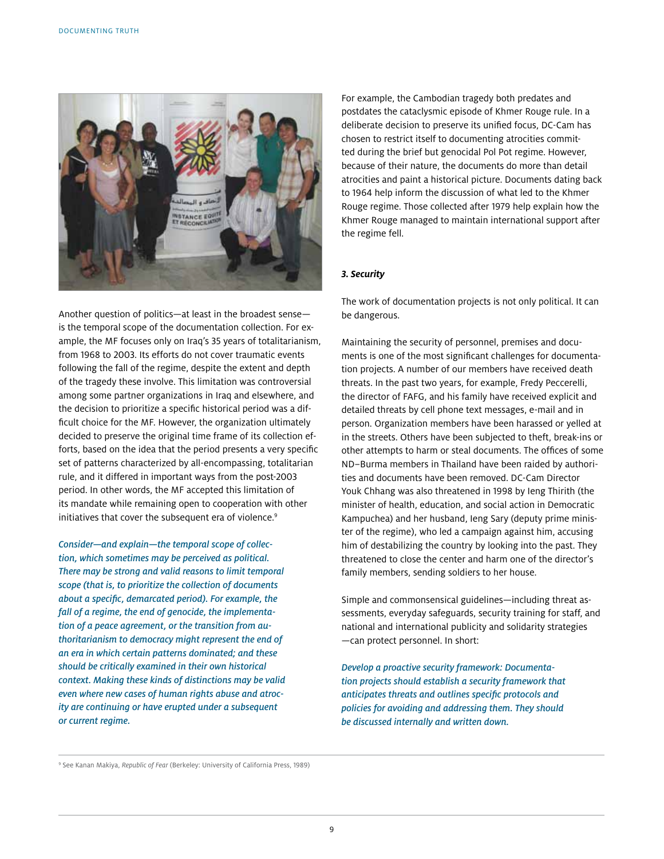

For example, the Cambodian tragedy both predates and postdates the cataclysmic episode of Khmer Rouge rule. In a deliberate decision to preserve its unified focus, DC-Cam has chosen to restrict itself to documenting atrocities committed during the brief but genocidal Pol Pot regime. However, because of their nature, the documents do more than detail atrocities and paint a historical picture. Documents dating back to 1964 help inform the discussion of what led to the Khmer Rouge regime. Those collected after 1979 help explain how the Khmer Rouge managed to maintain international support after the regime fell.

## *3. Security*

The work of documentation projects is not only political. It can be dangerous.

Another question of politics—at least in the broadest sense is the temporal scope of the documentation collection. For example, the MF focuses only on Iraq's 35 years of totalitarianism, from 1968 to 2003. Its efforts do not cover traumatic events following the fall of the regime, despite the extent and depth of the tragedy these involve. This limitation was controversial among some partner organizations in Iraq and elsewhere, and the decision to prioritize a specific historical period was a difficult choice for the MF. However, the organization ultimately decided to preserve the original time frame of its collection efforts, based on the idea that the period presents a very specific set of patterns characterized by all-encompassing, totalitarian rule, and it differed in important ways from the post-2003 period. In other words, the MF accepted this limitation of its mandate while remaining open to cooperation with other initiatives that cover the subsequent era of violence.<sup>9</sup>

*Consider—and explain—the temporal scope of collection, which sometimes may be perceived as political. There may be strong and valid reasons to limit temporal scope (that is, to prioritize the collection of documents about a specific, demarcated period). For example, the fall of a regime, the end of genocide, the implementation of a peace agreement, or the transition from authoritarianism to democracy might represent the end of an era in which certain patterns dominated; and these should be critically examined in their own historical context. Making these kinds of distinctions may be valid even where new cases of human rights abuse and atrocity are continuing or have erupted under a subsequent or current regime.*

Maintaining the security of personnel, premises and documents is one of the most significant challenges for documentation projects. A number of our members have received death threats. In the past two years, for example, Fredy Peccerelli, the director of FAFG, and his family have received explicit and detailed threats by cell phone text messages, e-mail and in person. Organization members have been harassed or yelled at in the streets. Others have been subjected to theft, break-ins or other attempts to harm or steal documents. The offices of some ND–Burma members in Thailand have been raided by authorities and documents have been removed. DC-Cam Director Youk Chhang was also threatened in 1998 by Ieng Thirith (the minister of health, education, and social action in Democratic Kampuchea) and her husband, Ieng Sary (deputy prime minister of the regime), who led a campaign against him, accusing him of destabilizing the country by looking into the past. They threatened to close the center and harm one of the director's family members, sending soldiers to her house.

Simple and commonsensical guidelines—including threat assessments, everyday safeguards, security training for staff, and national and international publicity and solidarity strategies —can protect personnel. In short:

*Develop a proactive security framework: Documentation projects should establish a security framework that anticipates threats and outlines specific protocols and policies for avoiding and addressing them. They should be discussed internally and written down.*

<sup>9</sup> See Kanan Makiya, *Republic of Fear* (Berkeley: University of California Press, 1989)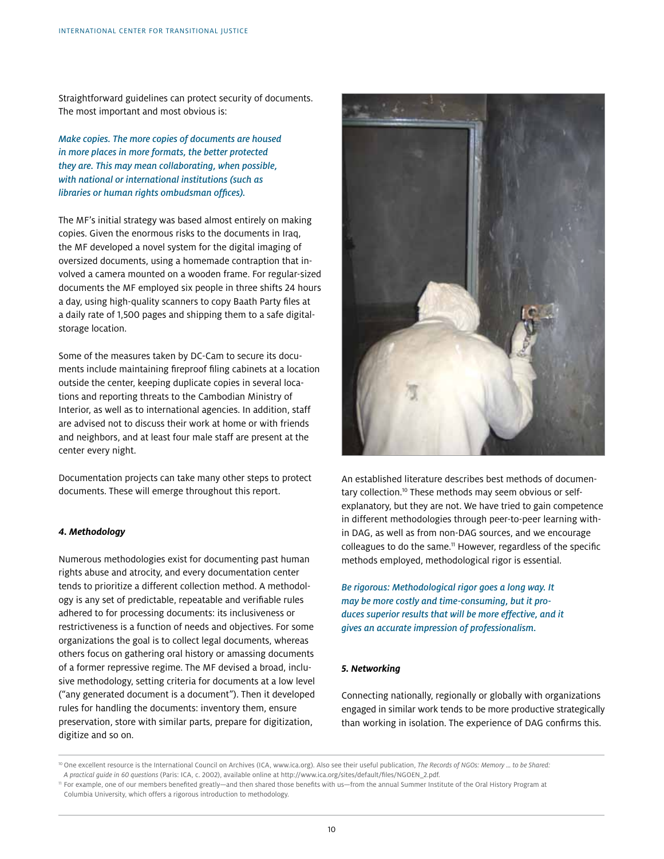Straightforward guidelines can protect security of documents. The most important and most obvious is:

*Make copies. The more copies of documents are housed in more places in more formats, the better protected they are. This may mean collaborating, when possible, with national or international institutions (such as libraries or human rights ombudsman offices).* 

The MF's initial strategy was based almost entirely on making copies. Given the enormous risks to the documents in Iraq, the MF developed a novel system for the digital imaging of oversized documents, using a homemade contraption that involved a camera mounted on a wooden frame. For regular-sized documents the MF employed six people in three shifts 24 hours a day, using high-quality scanners to copy Baath Party files at a daily rate of 1,500 pages and shipping them to a safe digitalstorage location.

Some of the measures taken by DC-Cam to secure its documents include maintaining fireproof filing cabinets at a location outside the center, keeping duplicate copies in several locations and reporting threats to the Cambodian Ministry of Interior, as well as to international agencies. In addition, staff are advised not to discuss their work at home or with friends and neighbors, and at least four male staff are present at the center every night.

Documentation projects can take many other steps to protect documents. These will emerge throughout this report.

#### *4. Methodology*

Numerous methodologies exist for documenting past human rights abuse and atrocity, and every documentation center tends to prioritize a different collection method. A methodology is any set of predictable, repeatable and verifiable rules adhered to for processing documents: its inclusiveness or restrictiveness is a function of needs and objectives. For some organizations the goal is to collect legal documents, whereas others focus on gathering oral history or amassing documents of a former repressive regime. The MF devised a broad, inclusive methodology, setting criteria for documents at a low level ("any generated document is a document"). Then it developed rules for handling the documents: inventory them, ensure preservation, store with similar parts, prepare for digitization, digitize and so on.



An established literature describes best methods of documentary collection.10 These methods may seem obvious or selfexplanatory, but they are not. We have tried to gain competence in different methodologies through peer-to-peer learning within DAG, as well as from non-DAG sources, and we encourage colleagues to do the same.11 However, regardless of the specific methods employed, methodological rigor is essential.

*Be rigorous: Methodological rigor goes a long way. It may be more costly and time-consuming, but it produces superior results that will be more effective, and it gives an accurate impression of professionalism.* 

#### *5. Networking*

Connecting nationally, regionally or globally with organizations engaged in similar work tends to be more productive strategically than working in isolation. The experience of DAG confirms this.

<sup>10</sup> One excellent resource is the International Council on Archives (ICA, www.ica.org). Also see their useful publication, *The Records of NGOs: Memory … to be Shared: A practical guide in 60 questions* (Paris: ICA, c. 2002), available online at http://www.ica.org/sites/default/files/NGOEN\_2.pdf.

<sup>11</sup> For example, one of our members benefited greatly—and then shared those benefits with us—from the annual Summer Institute of the Oral History Program at Columbia University, which offers a rigorous introduction to methodology.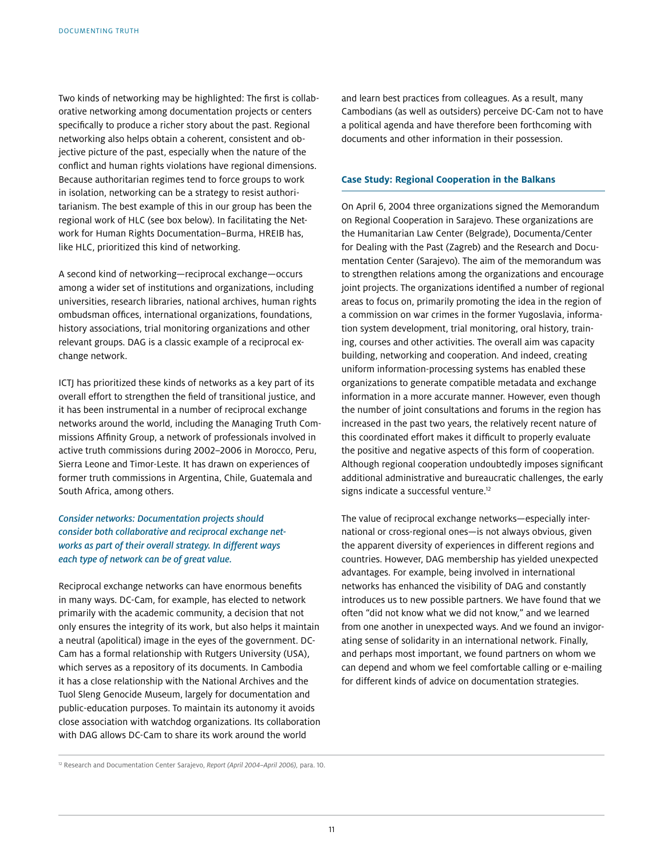Two kinds of networking may be highlighted: The first is collaborative networking among documentation projects or centers specifically to produce a richer story about the past. Regional networking also helps obtain a coherent, consistent and objective picture of the past, especially when the nature of the conflict and human rights violations have regional dimensions. Because authoritarian regimes tend to force groups to work in isolation, networking can be a strategy to resist authoritarianism. The best example of this in our group has been the regional work of HLC (see box below). In facilitating the Network for Human Rights Documentation–Burma, HREIB has, like HLC, prioritized this kind of networking.

A second kind of networking—reciprocal exchange—occurs among a wider set of institutions and organizations, including universities, research libraries, national archives, human rights ombudsman offices, international organizations, foundations, history associations, trial monitoring organizations and other relevant groups. DAG is a classic example of a reciprocal exchange network.

ICTJ has prioritized these kinds of networks as a key part of its overall effort to strengthen the field of transitional justice, and it has been instrumental in a number of reciprocal exchange networks around the world, including the Managing Truth Commissions Affinity Group, a network of professionals involved in active truth commissions during 2002–2006 in Morocco, Peru, Sierra Leone and Timor-Leste. It has drawn on experiences of former truth commissions in Argentina, Chile, Guatemala and South Africa, among others.

# *Consider networks: Documentation projects should consider both collaborative and reciprocal exchange networks as part of their overall strategy. In different ways each type of network can be of great value.*

Reciprocal exchange networks can have enormous benefits in many ways. DC-Cam, for example, has elected to network primarily with the academic community, a decision that not only ensures the integrity of its work, but also helps it maintain a neutral (apolitical) image in the eyes of the government. DC-Cam has a formal relationship with Rutgers University (USA), which serves as a repository of its documents. In Cambodia it has a close relationship with the National Archives and the Tuol Sleng Genocide Museum, largely for documentation and public-education purposes. To maintain its autonomy it avoids close association with watchdog organizations. Its collaboration with DAG allows DC-Cam to share its work around the world

and learn best practices from colleagues. As a result, many Cambodians (as well as outsiders) perceive DC-Cam not to have a political agenda and have therefore been forthcoming with documents and other information in their possession.

# **Case Study: Regional Cooperation in the Balkans**

On April 6, 2004 three organizations signed the Memorandum on Regional Cooperation in Sarajevo. These organizations are the Humanitarian Law Center (Belgrade), Documenta/Center for Dealing with the Past (Zagreb) and the Research and Documentation Center (Sarajevo). The aim of the memorandum was to strengthen relations among the organizations and encourage joint projects. The organizations identified a number of regional areas to focus on, primarily promoting the idea in the region of a commission on war crimes in the former Yugoslavia, information system development, trial monitoring, oral history, training, courses and other activities. The overall aim was capacity building, networking and cooperation. And indeed, creating uniform information-processing systems has enabled these organizations to generate compatible metadata and exchange information in a more accurate manner. However, even though the number of joint consultations and forums in the region has increased in the past two years, the relatively recent nature of this coordinated effort makes it difficult to properly evaluate the positive and negative aspects of this form of cooperation. Although regional cooperation undoubtedly imposes significant additional administrative and bureaucratic challenges, the early signs indicate a successful venture.<sup>12</sup>

The value of reciprocal exchange networks—especially international or cross-regional ones—is not always obvious, given the apparent diversity of experiences in different regions and countries. However, DAG membership has yielded unexpected advantages. For example, being involved in international networks has enhanced the visibility of DAG and constantly introduces us to new possible partners. We have found that we often "did not know what we did not know," and we learned from one another in unexpected ways. And we found an invigorating sense of solidarity in an international network. Finally, and perhaps most important, we found partners on whom we can depend and whom we feel comfortable calling or e-mailing for different kinds of advice on documentation strategies.

<sup>12</sup> Research and Documentation Center Sarajevo, *Report (April 2004–April 2006),* para. 10.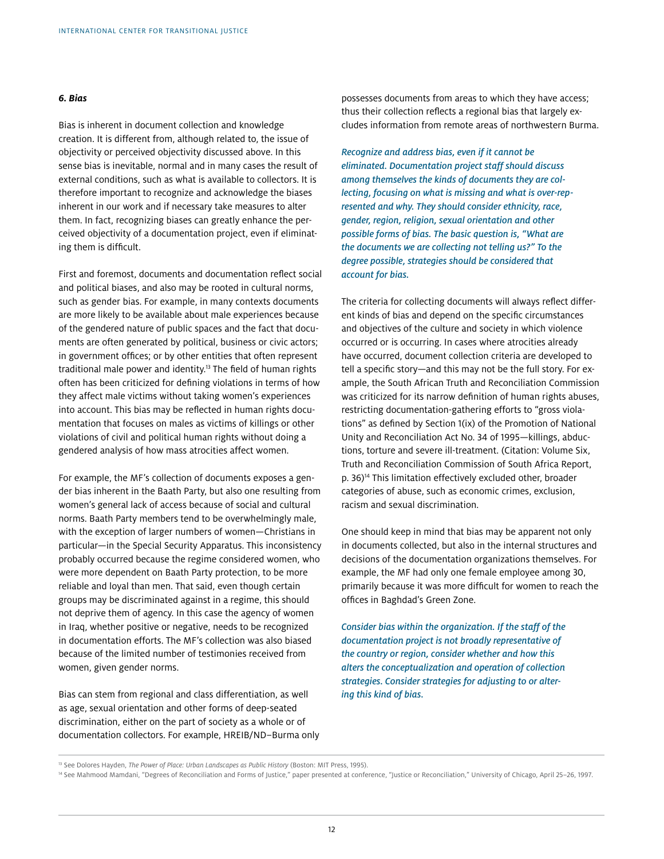#### *6. Bias*

Bias is inherent in document collection and knowledge creation. It is different from, although related to, the issue of objectivity or perceived objectivity discussed above. In this sense bias is inevitable, normal and in many cases the result of external conditions, such as what is available to collectors. It is therefore important to recognize and acknowledge the biases inherent in our work and if necessary take measures to alter them. In fact, recognizing biases can greatly enhance the perceived objectivity of a documentation project, even if eliminating them is difficult.

First and foremost, documents and documentation reflect social and political biases, and also may be rooted in cultural norms, such as gender bias. For example, in many contexts documents are more likely to be available about male experiences because of the gendered nature of public spaces and the fact that documents are often generated by political, business or civic actors; in government offices; or by other entities that often represent traditional male power and identity.13 The field of human rights often has been criticized for defining violations in terms of how they affect male victims without taking women's experiences into account. This bias may be reflected in human rights documentation that focuses on males as victims of killings or other violations of civil and political human rights without doing a gendered analysis of how mass atrocities affect women.

For example, the MF's collection of documents exposes a gender bias inherent in the Baath Party, but also one resulting from women's general lack of access because of social and cultural norms. Baath Party members tend to be overwhelmingly male, with the exception of larger numbers of women—Christians in particular—in the Special Security Apparatus. This inconsistency probably occurred because the regime considered women, who were more dependent on Baath Party protection, to be more reliable and loyal than men. That said, even though certain groups may be discriminated against in a regime, this should not deprive them of agency. In this case the agency of women in Iraq, whether positive or negative, needs to be recognized in documentation efforts. The MF's collection was also biased because of the limited number of testimonies received from women, given gender norms.

Bias can stem from regional and class differentiation, as well as age, sexual orientation and other forms of deep-seated discrimination, either on the part of society as a whole or of documentation collectors. For example, HREIB/ND–Burma only possesses documents from areas to which they have access; thus their collection reflects a regional bias that largely excludes information from remote areas of northwestern Burma.

*Recognize and address bias, even if it cannot be eliminated. Documentation project staff should discuss among themselves the kinds of documents they are collecting, focusing on what is missing and what is over-represented and why. They should consider ethnicity, race, gender, region, religion, sexual orientation and other possible forms of bias. The basic question is, "What are the documents we are collecting not telling us?" To the degree possible, strategies should be considered that account for bias.* 

The criteria for collecting documents will always reflect different kinds of bias and depend on the specific circumstances and objectives of the culture and society in which violence occurred or is occurring. In cases where atrocities already have occurred, document collection criteria are developed to tell a specific story—and this may not be the full story. For example, the South African Truth and Reconciliation Commission was criticized for its narrow definition of human rights abuses, restricting documentation-gathering efforts to "gross violations" as defined by Section 1(ix) of the Promotion of National Unity and Reconciliation Act No. 34 of 1995—killings, abductions, torture and severe ill-treatment. (Citation: Volume Six, Truth and Reconciliation Commission of South Africa Report, p. 36)<sup>14</sup> This limitation effectively excluded other, broader categories of abuse, such as economic crimes, exclusion, racism and sexual discrimination.

One should keep in mind that bias may be apparent not only in documents collected, but also in the internal structures and decisions of the documentation organizations themselves. For example, the MF had only one female employee among 30, primarily because it was more difficult for women to reach the offices in Baghdad's Green Zone.

*Consider bias within the organization. If the staff of the documentation project is not broadly representative of the country or region, consider whether and how this alters the conceptualization and operation of collection strategies. Consider strategies for adjusting to or altering this kind of bias.* 

<sup>&</sup>lt;sup>13</sup> See Dolores Hayden, *The Power of Place: Urban Landscapes as Public History* (Boston: MIT Press, 1995).

<sup>14</sup> See Mahmood Mamdani, "Degrees of Reconciliation and Forms of Justice," paper presented at conference, "Justice or Reconciliation," University of Chicago, April 25-26, 1997.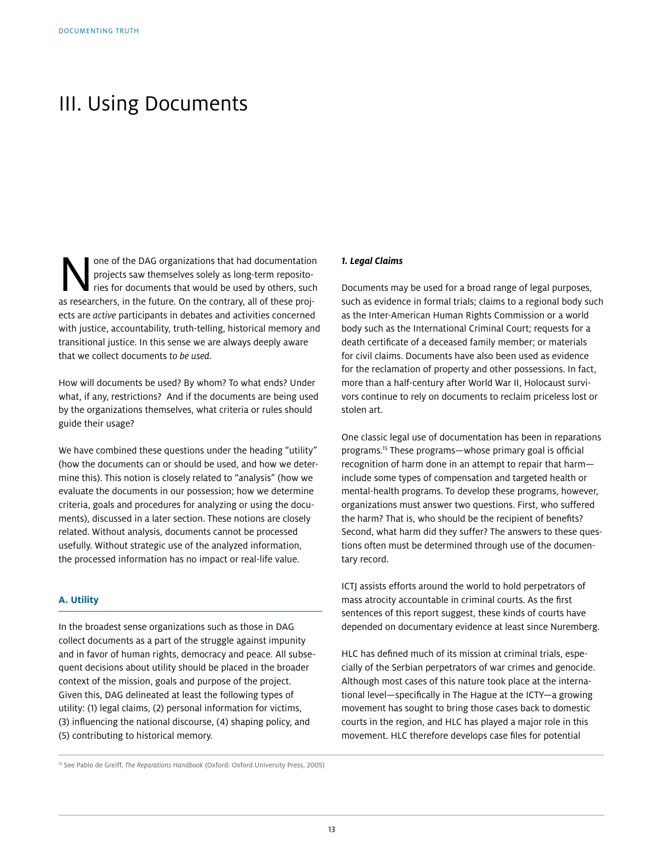# III. Using Documents

One of the DAG organizations that had documentation<br>projects saw themselves solely as long-term reposito-<br>ries for documents that would be used by others, such<br>as researchers in the future. On the contrary all of these pro projects saw themselves solely as long-term repositories for documents that would be used by others, such as researchers, in the future. On the contrary, all of these projects are *active* participants in debates and activities concerned with justice, accountability, truth-telling, historical memory and transitional justice. In this sense we are always deeply aware that we collect documents *to be used.*

How will documents be used? By whom? To what ends? Under what, if any, restrictions? And if the documents are being used by the organizations themselves, what criteria or rules should guide their usage?

We have combined these questions under the heading "utility" (how the documents can or should be used, and how we determine this). This notion is closely related to "analysis" (how we evaluate the documents in our possession; how we determine criteria, goals and procedures for analyzing or using the documents), discussed in a later section. These notions are closely related. Without analysis, documents cannot be processed usefully. Without strategic use of the analyzed information, the processed information has no impact or real-life value.

# **A. Utility**

In the broadest sense organizations such as those in DAG collect documents as a part of the struggle against impunity and in favor of human rights, democracy and peace. All subsequent decisions about utility should be placed in the broader context of the mission, goals and purpose of the project. Given this, DAG delineated at least the following types of utility: (1) legal claims, (2) personal information for victims, (3) influencing the national discourse, (4) shaping policy, and (5) contributing to historical memory.

#### *1. Legal Claims*

Documents may be used for a broad range of legal purposes, such as evidence in formal trials; claims to a regional body such as the Inter-American Human Rights Commission or a world body such as the International Criminal Court; requests for a death certificate of a deceased family member; or materials for civil claims. Documents have also been used as evidence for the reclamation of property and other possessions. In fact, more than a half-century after World War II, Holocaust survivors continue to rely on documents to reclaim priceless lost or stolen art.

One classic legal use of documentation has been in reparations programs.15 These programs—whose primary goal is official recognition of harm done in an attempt to repair that harm include some types of compensation and targeted health or mental-health programs. To develop these programs, however, organizations must answer two questions. First, who suffered the harm? That is, who should be the recipient of benefits? Second, what harm did they suffer? The answers to these questions often must be determined through use of the documentary record.

ICTJ assists efforts around the world to hold perpetrators of mass atrocity accountable in criminal courts. As the first sentences of this report suggest, these kinds of courts have depended on documentary evidence at least since Nuremberg.

HLC has defined much of its mission at criminal trials, especially of the Serbian perpetrators of war crimes and genocide. Although most cases of this nature took place at the international level—specifically in The Hague at the ICTY—a growing movement has sought to bring those cases back to domestic courts in the region, and HLC has played a major role in this movement. HLC therefore develops case files for potential

<sup>15</sup> See Pablo de Greiff, *The Reparations Handbook* (Oxford: Oxford University Press, 2005)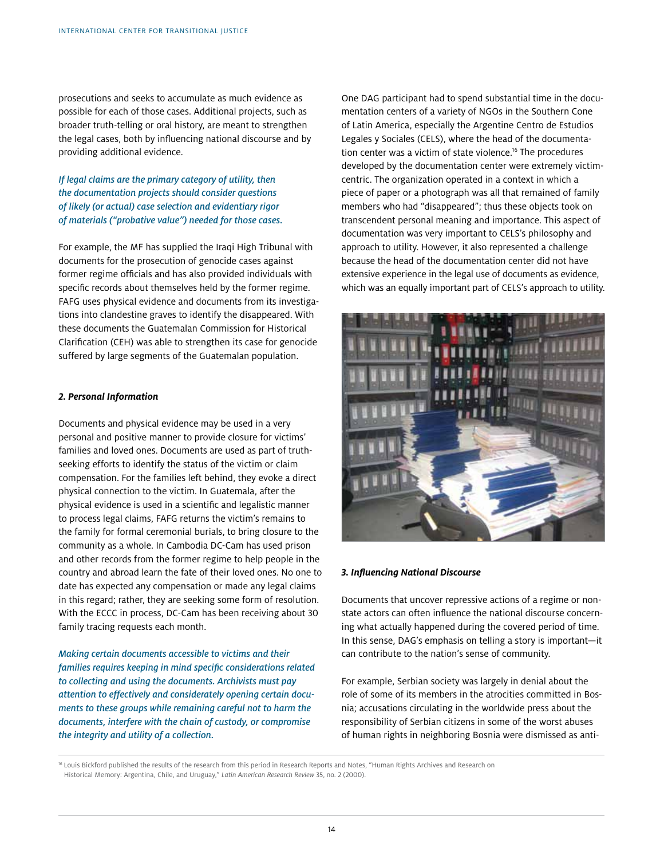prosecutions and seeks to accumulate as much evidence as possible for each of those cases. Additional projects, such as broader truth-telling or oral history, are meant to strengthen the legal cases, both by influencing national discourse and by providing additional evidence.

# *If legal claims are the primary category of utility, then the documentation projects should consider questions of likely (or actual) case selection and evidentiary rigor of materials ("probative value") needed for those cases.*

For example, the MF has supplied the Iraqi High Tribunal with documents for the prosecution of genocide cases against former regime officials and has also provided individuals with specific records about themselves held by the former regime. FAFG uses physical evidence and documents from its investigations into clandestine graves to identify the disappeared. With these documents the Guatemalan Commission for Historical Clarification (CEH) was able to strengthen its case for genocide suffered by large segments of the Guatemalan population.

#### *2. Personal Information*

Documents and physical evidence may be used in a very personal and positive manner to provide closure for victims' families and loved ones. Documents are used as part of truthseeking efforts to identify the status of the victim or claim compensation. For the families left behind, they evoke a direct physical connection to the victim. In Guatemala, after the physical evidence is used in a scientific and legalistic manner to process legal claims, FAFG returns the victim's remains to the family for formal ceremonial burials, to bring closure to the community as a whole. In Cambodia DC-Cam has used prison and other records from the former regime to help people in the country and abroad learn the fate of their loved ones. No one to date has expected any compensation or made any legal claims in this regard; rather, they are seeking some form of resolution. With the ECCC in process, DC-Cam has been receiving about 30 family tracing requests each month.

*Making certain documents accessible to victims and their families requires keeping in mind specific considerations related to collecting and using the documents. Archivists must pay attention to effectively and considerately opening certain documents to these groups while remaining careful not to harm the documents, interfere with the chain of custody, or compromise the integrity and utility of a collection.* 

One DAG participant had to spend substantial time in the documentation centers of a variety of NGOs in the Southern Cone of Latin America, especially the Argentine Centro de Estudios Legales y Sociales (CELS), where the head of the documentation center was a victim of state violence.<sup>16</sup> The procedures developed by the documentation center were extremely victimcentric. The organization operated in a context in which a piece of paper or a photograph was all that remained of family members who had "disappeared"; thus these objects took on transcendent personal meaning and importance. This aspect of documentation was very important to CELS's philosophy and approach to utility. However, it also represented a challenge because the head of the documentation center did not have extensive experience in the legal use of documents as evidence, which was an equally important part of CELS's approach to utility.



#### *3. Influencing National Discourse*

Documents that uncover repressive actions of a regime or nonstate actors can often influence the national discourse concerning what actually happened during the covered period of time. In this sense, DAG's emphasis on telling a story is important—it can contribute to the nation's sense of community.

For example, Serbian society was largely in denial about the role of some of its members in the atrocities committed in Bosnia; accusations circulating in the worldwide press about the responsibility of Serbian citizens in some of the worst abuses of human rights in neighboring Bosnia were dismissed as anti-

<sup>16</sup> Louis Bickford published the results of the research from this period in Research Reports and Notes, "Human Rights Archives and Research on Historical Memory: Argentina, Chile, and Uruguay," *Latin American Research Review* 35, no. 2 (2000).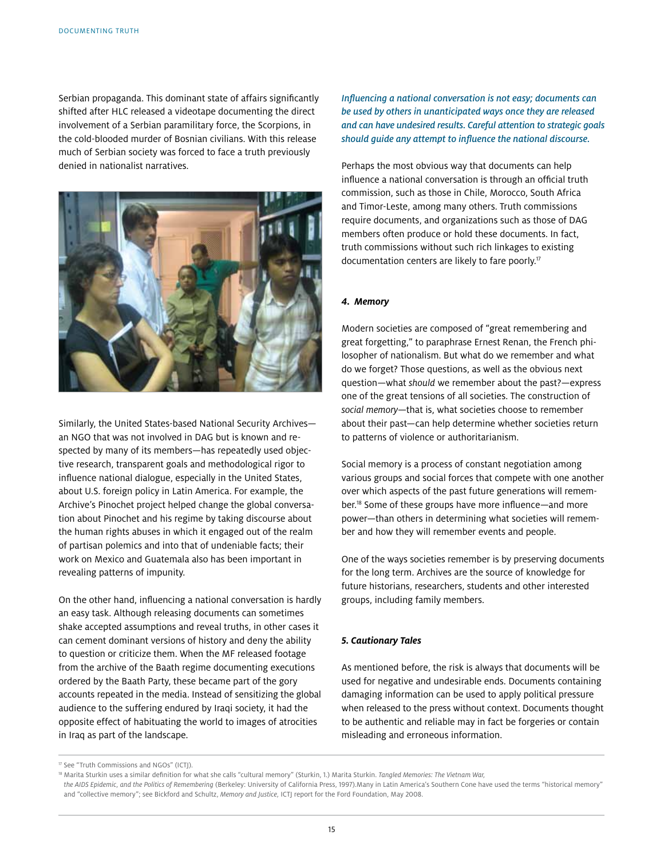Serbian propaganda. This dominant state of affairs significantly shifted after HLC released a videotape documenting the direct involvement of a Serbian paramilitary force, the Scorpions, in the cold-blooded murder of Bosnian civilians. With this release much of Serbian society was forced to face a truth previously denied in nationalist narratives.



Similarly, the United States-based National Security Archives an NGO that was not involved in DAG but is known and respected by many of its members—has repeatedly used objective research, transparent goals and methodological rigor to influence national dialogue, especially in the United States, about U.S. foreign policy in Latin America. For example, the Archive's Pinochet project helped change the global conversation about Pinochet and his regime by taking discourse about the human rights abuses in which it engaged out of the realm of partisan polemics and into that of undeniable facts; their work on Mexico and Guatemala also has been important in revealing patterns of impunity.

On the other hand, influencing a national conversation is hardly an easy task. Although releasing documents can sometimes shake accepted assumptions and reveal truths, in other cases it can cement dominant versions of history and deny the ability to question or criticize them. When the MF released footage from the archive of the Baath regime documenting executions ordered by the Baath Party, these became part of the gory accounts repeated in the media. Instead of sensitizing the global audience to the suffering endured by Iraqi society, it had the opposite effect of habituating the world to images of atrocities in Iraq as part of the landscape.

*Influencing a national conversation is not easy; documents can be used by others in unanticipated ways once they are released and can have undesired results. Careful attention to strategic goals should guide any attempt to influence the national discourse.* 

Perhaps the most obvious way that documents can help influence a national conversation is through an official truth commission, such as those in Chile, Morocco, South Africa and Timor-Leste, among many others. Truth commissions require documents, and organizations such as those of DAG members often produce or hold these documents. In fact, truth commissions without such rich linkages to existing documentation centers are likely to fare poorly.<sup>17</sup>

# *4. Memory*

Modern societies are composed of "great remembering and great forgetting," to paraphrase Ernest Renan, the French philosopher of nationalism. But what do we remember and what do we forget? Those questions, as well as the obvious next question—what *should* we remember about the past?—express one of the great tensions of all societies. The construction of *social memory*—that is, what societies choose to remember about their past—can help determine whether societies return to patterns of violence or authoritarianism.

Social memory is a process of constant negotiation among various groups and social forces that compete with one another over which aspects of the past future generations will remember.18 Some of these groups have more influence—and more power—than others in determining what societies will remember and how they will remember events and people.

One of the ways societies remember is by preserving documents for the long term. Archives are the source of knowledge for future historians, researchers, students and other interested groups, including family members.

# *5. Cautionary Tales*

As mentioned before, the risk is always that documents will be used for negative and undesirable ends. Documents containing damaging information can be used to apply political pressure when released to the press without context. Documents thought to be authentic and reliable may in fact be forgeries or contain misleading and erroneous information.

<sup>&</sup>lt;sup>17</sup> See "Truth Commissions and NGOs" (ICTJ).

<sup>&</sup>lt;sup>18</sup> Marita Sturkin uses a similar definition for what she calls "cultural memory" (Sturkin, 1.) Marita Sturkin. *Tangled Memories: The Vietnam War,* 

*the AIDS Epidemic, and the Politics of Remembering* (Berkeley: University of California Press, 1997).Many in Latin America's Southern Cone have used the terms "historical memory" and "collective memory"; see Bickford and Schultz, *Memory and Justice,* ICTJ report for the Ford Foundation, May 2008.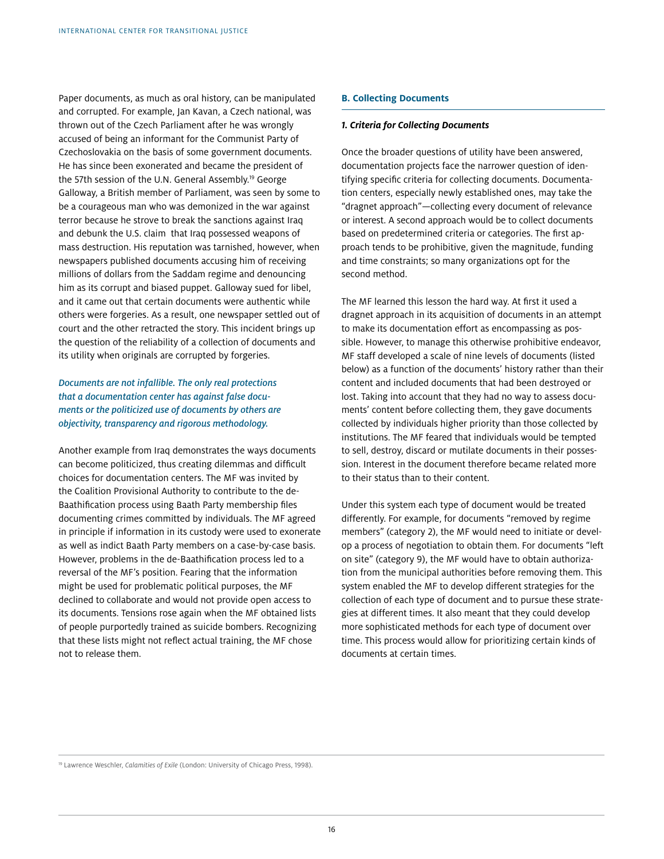Paper documents, as much as oral history, can be manipulated and corrupted. For example, Jan Kavan, a Czech national, was thrown out of the Czech Parliament after he was wrongly accused of being an informant for the Communist Party of Czechoslovakia on the basis of some government documents. He has since been exonerated and became the president of the 57th session of the U.N. General Assembly.<sup>19</sup> George Galloway, a British member of Parliament, was seen by some to be a courageous man who was demonized in the war against terror because he strove to break the sanctions against Iraq and debunk the U.S. claim that Iraq possessed weapons of mass destruction. His reputation was tarnished, however, when newspapers published documents accusing him of receiving millions of dollars from the Saddam regime and denouncing him as its corrupt and biased puppet. Galloway sued for libel, and it came out that certain documents were authentic while others were forgeries. As a result, one newspaper settled out of court and the other retracted the story. This incident brings up the question of the reliability of a collection of documents and its utility when originals are corrupted by forgeries.

# *Documents are not infallible. The only real protections that a documentation center has against false documents or the politicized use of documents by others are objectivity, transparency and rigorous methodology.*

Another example from Iraq demonstrates the ways documents can become politicized, thus creating dilemmas and difficult choices for documentation centers. The MF was invited by the Coalition Provisional Authority to contribute to the de-Baathification process using Baath Party membership files documenting crimes committed by individuals. The MF agreed in principle if information in its custody were used to exonerate as well as indict Baath Party members on a case-by-case basis. However, problems in the de-Baathification process led to a reversal of the MF's position. Fearing that the information might be used for problematic political purposes, the MF declined to collaborate and would not provide open access to its documents. Tensions rose again when the MF obtained lists of people purportedly trained as suicide bombers. Recognizing that these lists might not reflect actual training, the MF chose not to release them.

# **B. Collecting Documents**

#### *1. Criteria for Collecting Documents*

Once the broader questions of utility have been answered, documentation projects face the narrower question of identifying specific criteria for collecting documents. Documentation centers, especially newly established ones, may take the "dragnet approach"—collecting every document of relevance or interest. A second approach would be to collect documents based on predetermined criteria or categories. The first approach tends to be prohibitive, given the magnitude, funding and time constraints; so many organizations opt for the second method.

The MF learned this lesson the hard way. At first it used a dragnet approach in its acquisition of documents in an attempt to make its documentation effort as encompassing as possible. However, to manage this otherwise prohibitive endeavor, MF staff developed a scale of nine levels of documents (listed below) as a function of the documents' history rather than their content and included documents that had been destroyed or lost. Taking into account that they had no way to assess documents' content before collecting them, they gave documents collected by individuals higher priority than those collected by institutions. The MF feared that individuals would be tempted to sell, destroy, discard or mutilate documents in their possession. Interest in the document therefore became related more to their status than to their content.

Under this system each type of document would be treated differently. For example, for documents "removed by regime members" (category 2), the MF would need to initiate or develop a process of negotiation to obtain them. For documents "left on site" (category 9), the MF would have to obtain authorization from the municipal authorities before removing them. This system enabled the MF to develop different strategies for the collection of each type of document and to pursue these strategies at different times. It also meant that they could develop more sophisticated methods for each type of document over time. This process would allow for prioritizing certain kinds of documents at certain times.

<sup>19</sup> Lawrence Weschler, *Calamities of Exile* (London: University of Chicago Press, 1998).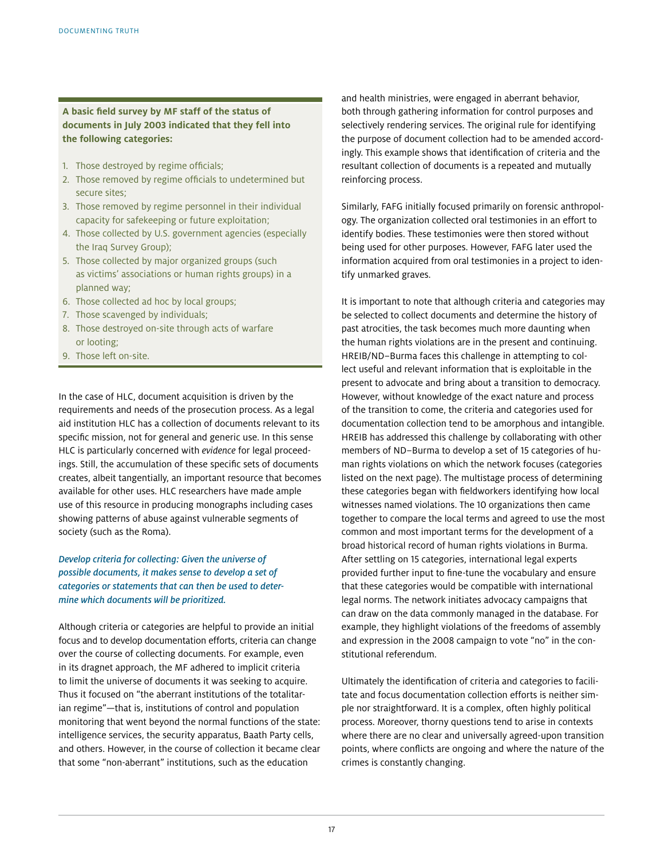# **A basic field survey by MF staff of the status of documents in July 2003 indicated that they fell into the following categories:**

- 1. Those destroyed by regime officials;
- 2. Those removed by regime officials to undetermined but secure sites;
- 3. Those removed by regime personnel in their individual capacity for safekeeping or future exploitation;
- 4. Those collected by U.S. government agencies (especially the Iraq Survey Group);
- 5. Those collected by major organized groups (such as victims' associations or human rights groups) in a planned way;
- 6. Those collected ad hoc by local groups;
- 7. Those scavenged by individuals;
- 8. Those destroyed on-site through acts of warfare or looting;
- 9. Those left on-site.

In the case of HLC, document acquisition is driven by the requirements and needs of the prosecution process. As a legal aid institution HLC has a collection of documents relevant to its specific mission, not for general and generic use. In this sense HLC is particularly concerned with *evidence* for legal proceedings. Still, the accumulation of these specific sets of documents creates, albeit tangentially, an important resource that becomes available for other uses. HLC researchers have made ample use of this resource in producing monographs including cases showing patterns of abuse against vulnerable segments of society (such as the Roma).

# *Develop criteria for collecting: Given the universe of possible documents, it makes sense to develop a set of categories or statements that can then be used to determine which documents will be prioritized.*

Although criteria or categories are helpful to provide an initial focus and to develop documentation efforts, criteria can change over the course of collecting documents. For example, even in its dragnet approach, the MF adhered to implicit criteria to limit the universe of documents it was seeking to acquire. Thus it focused on "the aberrant institutions of the totalitarian regime"—that is, institutions of control and population monitoring that went beyond the normal functions of the state: intelligence services, the security apparatus, Baath Party cells, and others. However, in the course of collection it became clear that some "non-aberrant" institutions, such as the education

and health ministries, were engaged in aberrant behavior, both through gathering information for control purposes and selectively rendering services. The original rule for identifying the purpose of document collection had to be amended accordingly. This example shows that identification of criteria and the resultant collection of documents is a repeated and mutually reinforcing process.

Similarly, FAFG initially focused primarily on forensic anthropology. The organization collected oral testimonies in an effort to identify bodies. These testimonies were then stored without being used for other purposes. However, FAFG later used the information acquired from oral testimonies in a project to identify unmarked graves.

It is important to note that although criteria and categories may be selected to collect documents and determine the history of past atrocities, the task becomes much more daunting when the human rights violations are in the present and continuing. HREIB/ND–Burma faces this challenge in attempting to collect useful and relevant information that is exploitable in the present to advocate and bring about a transition to democracy. However, without knowledge of the exact nature and process of the transition to come, the criteria and categories used for documentation collection tend to be amorphous and intangible. HREIB has addressed this challenge by collaborating with other members of ND–Burma to develop a set of 15 categories of human rights violations on which the network focuses (categories listed on the next page). The multistage process of determining these categories began with fieldworkers identifying how local witnesses named violations. The 10 organizations then came together to compare the local terms and agreed to use the most common and most important terms for the development of a broad historical record of human rights violations in Burma. After settling on 15 categories, international legal experts provided further input to fine-tune the vocabulary and ensure that these categories would be compatible with international legal norms. The network initiates advocacy campaigns that can draw on the data commonly managed in the database. For example, they highlight violations of the freedoms of assembly and expression in the 2008 campaign to vote "no" in the constitutional referendum.

Ultimately the identification of criteria and categories to facilitate and focus documentation collection efforts is neither simple nor straightforward. It is a complex, often highly political process. Moreover, thorny questions tend to arise in contexts where there are no clear and universally agreed-upon transition points, where conflicts are ongoing and where the nature of the crimes is constantly changing.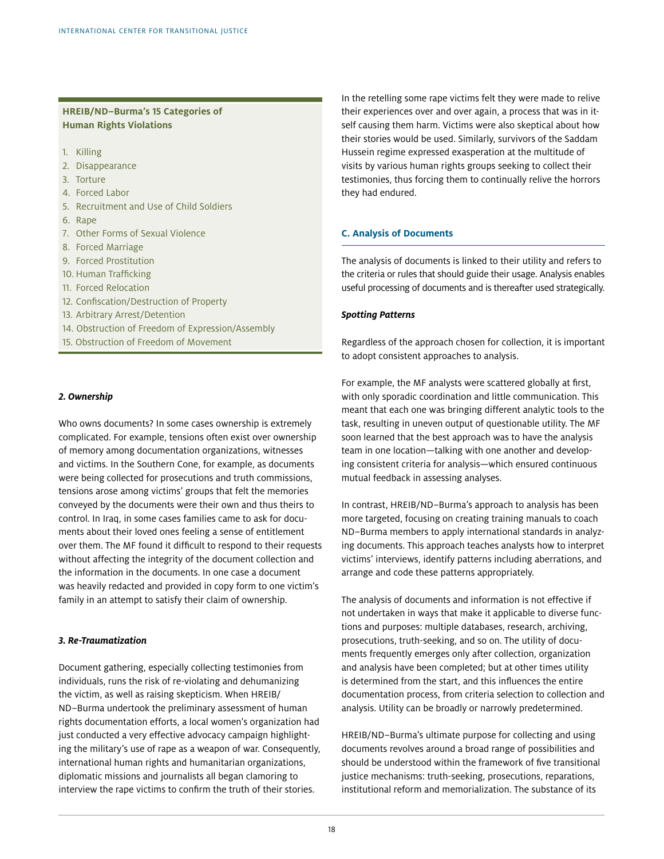# **HREIB/ND–Burma's 15 Categories of Human Rights Violations**

- 1. Killing
- 2. Disappearance
- 3. Torture
- 4. Forced Labor
- 5. Recruitment and Use of Child Soldiers
- 6. Rape
- 7. Other Forms of Sexual Violence
- 8. Forced Marriage
- 9. Forced Prostitution
- 10. Human Trafficking
- 11. Forced Relocation
- 12. Confiscation/Destruction of Property
- 13. Arbitrary Arrest/Detention
- 14. Obstruction of Freedom of Expression/Assembly
- 15. Obstruction of Freedom of Movement

# *2. Ownership*

Who owns documents? In some cases ownership is extremely complicated. For example, tensions often exist over ownership of memory among documentation organizations, witnesses and victims. In the Southern Cone, for example, as documents were being collected for prosecutions and truth commissions, tensions arose among victims' groups that felt the memories conveyed by the documents were their own and thus theirs to control. In Iraq, in some cases families came to ask for documents about their loved ones feeling a sense of entitlement over them. The MF found it difficult to respond to their requests without affecting the integrity of the document collection and the information in the documents. In one case a document was heavily redacted and provided in copy form to one victim's family in an attempt to satisfy their claim of ownership.

#### *3. Re-Traumatization*

Document gathering, especially collecting testimonies from individuals, runs the risk of re-violating and dehumanizing the victim, as well as raising skepticism. When HREIB/ ND–Burma undertook the preliminary assessment of human rights documentation efforts, a local women's organization had just conducted a very effective advocacy campaign highlighting the military's use of rape as a weapon of war. Consequently, international human rights and humanitarian organizations, diplomatic missions and journalists all began clamoring to interview the rape victims to confirm the truth of their stories.

In the retelling some rape victims felt they were made to relive their experiences over and over again, a process that was in itself causing them harm. Victims were also skeptical about how their stories would be used. Similarly, survivors of the Saddam Hussein regime expressed exasperation at the multitude of visits by various human rights groups seeking to collect their testimonies, thus forcing them to continually relive the horrors they had endured.

#### **C. Analysis of Documents**

The analysis of documents is linked to their utility and refers to the criteria or rules that should guide their usage. Analysis enables useful processing of documents and is thereafter used strategically.

#### *Spotting Patterns*

Regardless of the approach chosen for collection, it is important to adopt consistent approaches to analysis.

For example, the MF analysts were scattered globally at first, with only sporadic coordination and little communication. This meant that each one was bringing different analytic tools to the task, resulting in uneven output of questionable utility. The MF soon learned that the best approach was to have the analysis team in one location—talking with one another and developing consistent criteria for analysis—which ensured continuous mutual feedback in assessing analyses.

In contrast, HREIB/ND–Burma's approach to analysis has been more targeted, focusing on creating training manuals to coach ND–Burma members to apply international standards in analyzing documents. This approach teaches analysts how to interpret victims' interviews, identify patterns including aberrations, and arrange and code these patterns appropriately.

The analysis of documents and information is not effective if not undertaken in ways that make it applicable to diverse functions and purposes: multiple databases, research, archiving, prosecutions, truth-seeking, and so on. The utility of documents frequently emerges only after collection, organization and analysis have been completed; but at other times utility is determined from the start, and this influences the entire documentation process, from criteria selection to collection and analysis. Utility can be broadly or narrowly predetermined.

HREIB/ND–Burma's ultimate purpose for collecting and using documents revolves around a broad range of possibilities and should be understood within the framework of five transitional justice mechanisms: truth-seeking, prosecutions, reparations, institutional reform and memorialization. The substance of its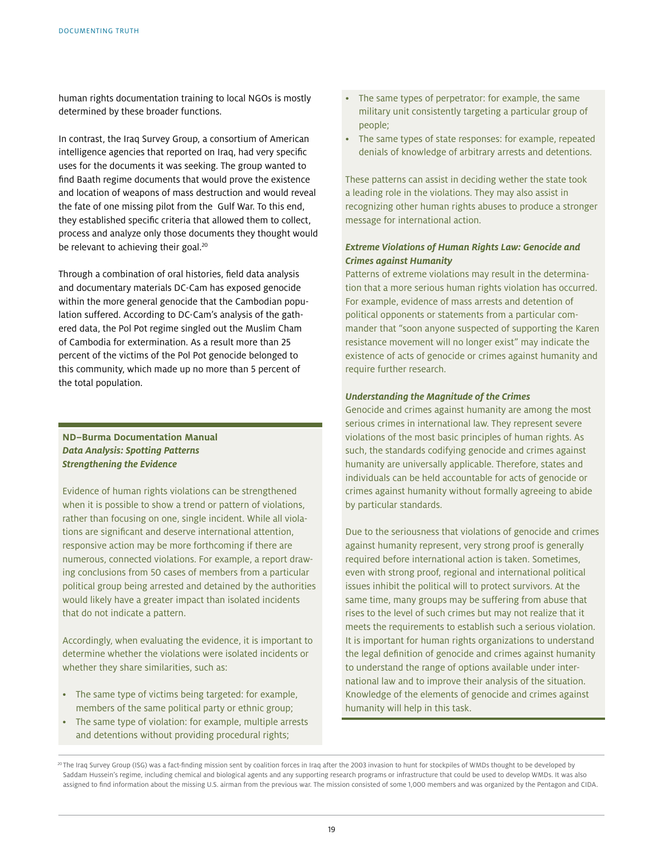human rights documentation training to local NGOs is mostly determined by these broader functions.

In contrast, the Iraq Survey Group, a consortium of American intelligence agencies that reported on Iraq, had very specific uses for the documents it was seeking. The group wanted to find Baath regime documents that would prove the existence and location of weapons of mass destruction and would reveal the fate of one missing pilot from the Gulf War. To this end, they established specific criteria that allowed them to collect, process and analyze only those documents they thought would be relevant to achieving their goal.<sup>20</sup>

Through a combination of oral histories, field data analysis and documentary materials DC-Cam has exposed genocide within the more general genocide that the Cambodian population suffered. According to DC-Cam's analysis of the gathered data, the Pol Pot regime singled out the Muslim Cham of Cambodia for extermination. As a result more than 25 percent of the victims of the Pol Pot genocide belonged to this community, which made up no more than 5 percent of the total population.

# **ND–Burma Documentation Manual** *Data Analysis: Spotting Patterns Strengthening the Evidence*

Evidence of human rights violations can be strengthened when it is possible to show a trend or pattern of violations, rather than focusing on one, single incident. While all violations are significant and deserve international attention, responsive action may be more forthcoming if there are numerous, connected violations. For example, a report drawing conclusions from 50 cases of members from a particular political group being arrested and detained by the authorities would likely have a greater impact than isolated incidents that do not indicate a pattern.

Accordingly, when evaluating the evidence, it is important to determine whether the violations were isolated incidents or whether they share similarities, such as:

- The same type of victims being targeted: for example, members of the same political party or ethnic group;
- The same type of violation: for example, multiple arrests and detentions without providing procedural rights;
- The same types of perpetrator: for example, the same military unit consistently targeting a particular group of people;
- The same types of state responses: for example, repeated denials of knowledge of arbitrary arrests and detentions.

These patterns can assist in deciding wether the state took a leading role in the violations. They may also assist in recognizing other human rights abuses to produce a stronger message for international action.

# *Extreme Violations of Human Rights Law: Genocide and Crimes against Humanity*

Patterns of extreme violations may result in the determination that a more serious human rights violation has occurred. For example, evidence of mass arrests and detention of political opponents or statements from a particular commander that "soon anyone suspected of supporting the Karen resistance movement will no longer exist" may indicate the existence of acts of genocide or crimes against humanity and require further research.

## *Understanding the Magnitude of the Crimes*

Genocide and crimes against humanity are among the most serious crimes in international law. They represent severe violations of the most basic principles of human rights. As such, the standards codifying genocide and crimes against humanity are universally applicable. Therefore, states and individuals can be held accountable for acts of genocide or crimes against humanity without formally agreeing to abide by particular standards.

Due to the seriousness that violations of genocide and crimes against humanity represent, very strong proof is generally required before international action is taken. Sometimes, even with strong proof, regional and international political issues inhibit the political will to protect survivors. At the same time, many groups may be suffering from abuse that rises to the level of such crimes but may not realize that it meets the requirements to establish such a serious violation. It is important for human rights organizations to understand the legal definition of genocide and crimes against humanity to understand the range of options available under international law and to improve their analysis of the situation. Knowledge of the elements of genocide and crimes against humanity will help in this task.

<sup>20</sup>The Iraq Survey Group (ISG) was a fact-finding mission sent by coalition forces in Iraq after the 2003 invasion to hunt for stockpiles of WMDs thought to be developed by Saddam Hussein's regime, including chemical and biological agents and any supporting research programs or infrastructure that could be used to develop WMDs. It was also assigned to find information about the missing U.S. airman from the previous war. The mission consisted of some 1,000 members and was organized by the Pentagon and CIDA.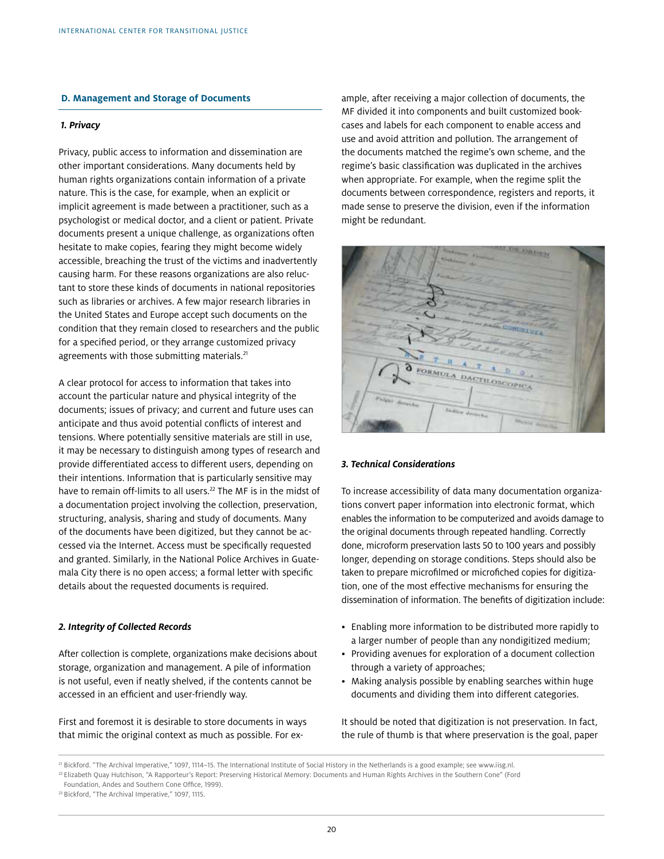#### **D. Management and Storage of Documents**

#### *1. Privacy*

Privacy, public access to information and dissemination are other important considerations. Many documents held by human rights organizations contain information of a private nature. This is the case, for example, when an explicit or implicit agreement is made between a practitioner, such as a psychologist or medical doctor, and a client or patient. Private documents present a unique challenge, as organizations often hesitate to make copies, fearing they might become widely accessible, breaching the trust of the victims and inadvertently causing harm. For these reasons organizations are also reluctant to store these kinds of documents in national repositories such as libraries or archives. A few major research libraries in the United States and Europe accept such documents on the condition that they remain closed to researchers and the public for a specified period, or they arrange customized privacy agreements with those submitting materials.<sup>21</sup>

A clear protocol for access to information that takes into account the particular nature and physical integrity of the documents; issues of privacy; and current and future uses can anticipate and thus avoid potential conflicts of interest and tensions. Where potentially sensitive materials are still in use, it may be necessary to distinguish among types of research and provide differentiated access to different users, depending on their intentions. Information that is particularly sensitive may have to remain off-limits to all users.<sup>22</sup> The MF is in the midst of a documentation project involving the collection, preservation, structuring, analysis, sharing and study of documents. Many of the documents have been digitized, but they cannot be accessed via the Internet. Access must be specifically requested and granted. Similarly, in the National Police Archives in Guatemala City there is no open access; a formal letter with specific details about the requested documents is required.

# *2. Integrity of Collected Records*

After collection is complete, organizations make decisions about storage, organization and management. A pile of information is not useful, even if neatly shelved, if the contents cannot be accessed in an efficient and user-friendly way.

First and foremost it is desirable to store documents in ways that mimic the original context as much as possible. For example, after receiving a major collection of documents, the MF divided it into components and built customized bookcases and labels for each component to enable access and use and avoid attrition and pollution. The arrangement of the documents matched the regime's own scheme, and the regime's basic classification was duplicated in the archives when appropriate. For example, when the regime split the documents between correspondence, registers and reports, it made sense to preserve the division, even if the information might be redundant.



#### *3. Technical Considerations*

To increase accessibility of data many documentation organizations convert paper information into electronic format, which enables the information to be computerized and avoids damage to the original documents through repeated handling. Correctly done, microform preservation lasts 50 to 100 years and possibly longer, depending on storage conditions. Steps should also be taken to prepare microfilmed or microfiched copies for digitization, one of the most effective mechanisms for ensuring the dissemination of information. The benefits of digitization include:

- Enabling more information to be distributed more rapidly to a larger number of people than any nondigitized medium;
- Providing avenues for exploration of a document collection through a variety of approaches;
- Making analysis possible by enabling searches within huge documents and dividing them into different categories.

It should be noted that digitization is not preservation. In fact, the rule of thumb is that where preservation is the goal, paper

<sup>&</sup>lt;sup>21</sup> Bickford. "The Archival Imperative," 1097, 1114–15. The International Institute of Social History in the Netherlands is a good example; see www.iisg.nl.

<sup>&</sup>lt;sup>22</sup> Elizabeth Quay Hutchison, "A Rapporteur's Report: Preserving Historical Memory: Documents and Human Rights Archives in the Southern Cone" (Ford

Foundation, Andes and Southern Cone Office, 1999).

<sup>&</sup>lt;sup>23</sup> Bickford, "The Archival Imperative," 1097, 1115.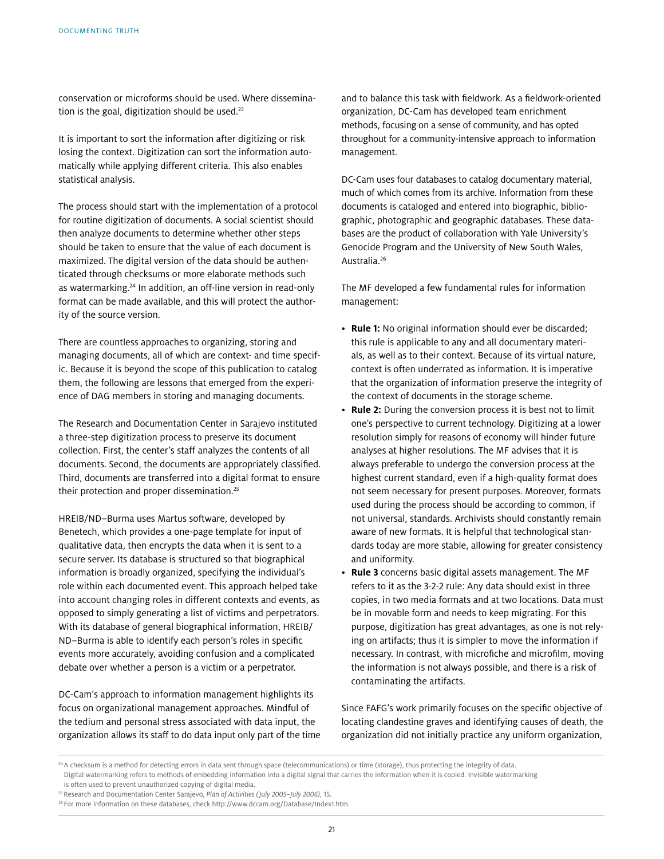conservation or microforms should be used. Where dissemination is the goal, digitization should be used. $23$ 

It is important to sort the information after digitizing or risk losing the context. Digitization can sort the information automatically while applying different criteria. This also enables statistical analysis.

The process should start with the implementation of a protocol for routine digitization of documents. A social scientist should then analyze documents to determine whether other steps should be taken to ensure that the value of each document is maximized. The digital version of the data should be authenticated through checksums or more elaborate methods such as watermarking.<sup>24</sup> In addition, an off-line version in read-only format can be made available, and this will protect the authority of the source version.

There are countless approaches to organizing, storing and managing documents, all of which are context- and time specific. Because it is beyond the scope of this publication to catalog them, the following are lessons that emerged from the experience of DAG members in storing and managing documents.

The Research and Documentation Center in Sarajevo instituted a three-step digitization process to preserve its document collection. First, the center's staff analyzes the contents of all documents. Second, the documents are appropriately classified. Third, documents are transferred into a digital format to ensure their protection and proper dissemination.25

HREIB/ND–Burma uses Martus software, developed by Benetech, which provides a one-page template for input of qualitative data, then encrypts the data when it is sent to a secure server. Its database is structured so that biographical information is broadly organized, specifying the individual's role within each documented event. This approach helped take into account changing roles in different contexts and events, as opposed to simply generating a list of victims and perpetrators. With its database of general biographical information, HREIB/ ND–Burma is able to identify each person's roles in specific events more accurately, avoiding confusion and a complicated debate over whether a person is a victim or a perpetrator.

DC-Cam's approach to information management highlights its focus on organizational management approaches. Mindful of the tedium and personal stress associated with data input, the organization allows its staff to do data input only part of the time and to balance this task with fieldwork. As a fieldwork-oriented organization, DC-Cam has developed team enrichment methods, focusing on a sense of community, and has opted throughout for a community-intensive approach to information management.

DC-Cam uses four databases to catalog documentary material, much of which comes from its archive. Information from these documents is cataloged and entered into biographic, bibliographic, photographic and geographic databases. These databases are the product of collaboration with Yale University's Genocide Program and the University of New South Wales, Australia.<sup>26</sup>

The MF developed a few fundamental rules for information management:

- Rule 1: No original information should ever be discarded; this rule is applicable to any and all documentary materials, as well as to their context. Because of its virtual nature, context is often underrated as information. It is imperative that the organization of information preserve the integrity of the context of documents in the storage scheme.
- **Rule 2:** During the conversion process it is best not to limit one's perspective to current technology. Digitizing at a lower resolution simply for reasons of economy will hinder future analyses at higher resolutions. The MF advises that it is always preferable to undergo the conversion process at the highest current standard, even if a high-quality format does not seem necessary for present purposes. Moreover, formats used during the process should be according to common, if not universal, standards. Archivists should constantly remain aware of new formats. It is helpful that technological standards today are more stable, allowing for greater consistency and uniformity.
- • **Rule 3** concerns basic digital assets management. The MF refers to it as the 3-2-2 rule: Any data should exist in three copies, in two media formats and at two locations. Data must be in movable form and needs to keep migrating. For this purpose, digitization has great advantages, as one is not relying on artifacts; thus it is simpler to move the information if necessary. In contrast, with microfiche and microfilm, moving the information is not always possible, and there is a risk of contaminating the artifacts.

Since FAFG's work primarily focuses on the specific objective of locating clandestine graves and identifying causes of death, the organization did not initially practice any uniform organization,

<sup>&</sup>lt;sup>24</sup> A checksum is a method for detecting errors in data sent through space (telecommunications) or time (storage), thus protecting the integrity of data.

Digital watermarking refers to methods of embedding information into a digital signal that carries the information when it is copied. Invisible watermarking

is often used to prevent unauthorized copying of digital media.

<sup>25</sup> Research and Documentation Center Sarajevo, *Plan of Activities ( July 2005–July 2006),* 15.

<sup>26</sup> For more information on these databases, check http://www.dccam.org/Database/Index1.htm.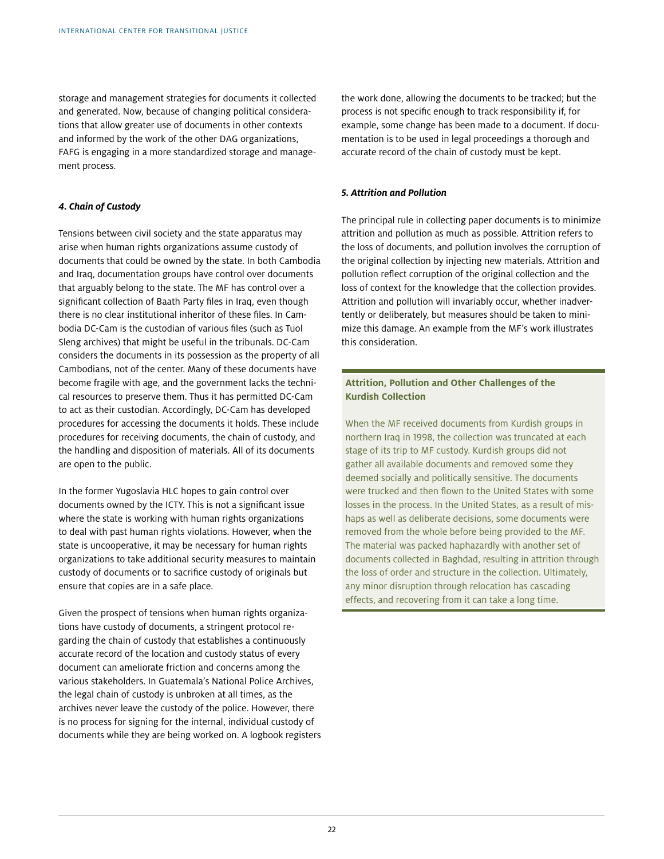storage and management strategies for documents it collected and generated. Now, because of changing political considerations that allow greater use of documents in other contexts and informed by the work of the other DAG organizations, FAFG is engaging in a more standardized storage and management process.

#### *4. Chain of Custody*

Tensions between civil society and the state apparatus may arise when human rights organizations assume custody of documents that could be owned by the state. In both Cambodia and Iraq, documentation groups have control over documents that arguably belong to the state. The MF has control over a significant collection of Baath Party files in Iraq, even though there is no clear institutional inheritor of these files. In Cambodia DC-Cam is the custodian of various files (such as Tuol Sleng archives) that might be useful in the tribunals. DC-Cam considers the documents in its possession as the property of all Cambodians, not of the center. Many of these documents have become fragile with age, and the government lacks the technical resources to preserve them. Thus it has permitted DC-Cam to act as their custodian. Accordingly, DC-Cam has developed procedures for accessing the documents it holds. These include procedures for receiving documents, the chain of custody, and the handling and disposition of materials. All of its documents are open to the public.

In the former Yugoslavia HLC hopes to gain control over documents owned by the ICTY. This is not a significant issue where the state is working with human rights organizations to deal with past human rights violations. However, when the state is uncooperative, it may be necessary for human rights organizations to take additional security measures to maintain custody of documents or to sacrifice custody of originals but ensure that copies are in a safe place.

Given the prospect of tensions when human rights organizations have custody of documents, a stringent protocol regarding the chain of custody that establishes a continuously accurate record of the location and custody status of every document can ameliorate friction and concerns among the various stakeholders. In Guatemala's National Police Archives, the legal chain of custody is unbroken at all times, as the archives never leave the custody of the police. However, there is no process for signing for the internal, individual custody of documents while they are being worked on. A logbook registers the work done, allowing the documents to be tracked; but the process is not specific enough to track responsibility if, for example, some change has been made to a document. If documentation is to be used in legal proceedings a thorough and accurate record of the chain of custody must be kept.

## *5. Attrition and Pollution*

The principal rule in collecting paper documents is to minimize attrition and pollution as much as possible. Attrition refers to the loss of documents, and pollution involves the corruption of the original collection by injecting new materials. Attrition and pollution reflect corruption of the original collection and the loss of context for the knowledge that the collection provides. Attrition and pollution will invariably occur, whether inadvertently or deliberately, but measures should be taken to minimize this damage. An example from the MF's work illustrates this consideration.

# **Attrition, Pollution and Other Challenges of the Kurdish Collection**

When the MF received documents from Kurdish groups in northern Iraq in 1998, the collection was truncated at each stage of its trip to MF custody. Kurdish groups did not gather all available documents and removed some they deemed socially and politically sensitive. The documents were trucked and then flown to the United States with some losses in the process. In the United States, as a result of mishaps as well as deliberate decisions, some documents were removed from the whole before being provided to the MF. The material was packed haphazardly with another set of documents collected in Baghdad, resulting in attrition through the loss of order and structure in the collection. Ultimately, any minor disruption through relocation has cascading effects, and recovering from it can take a long time.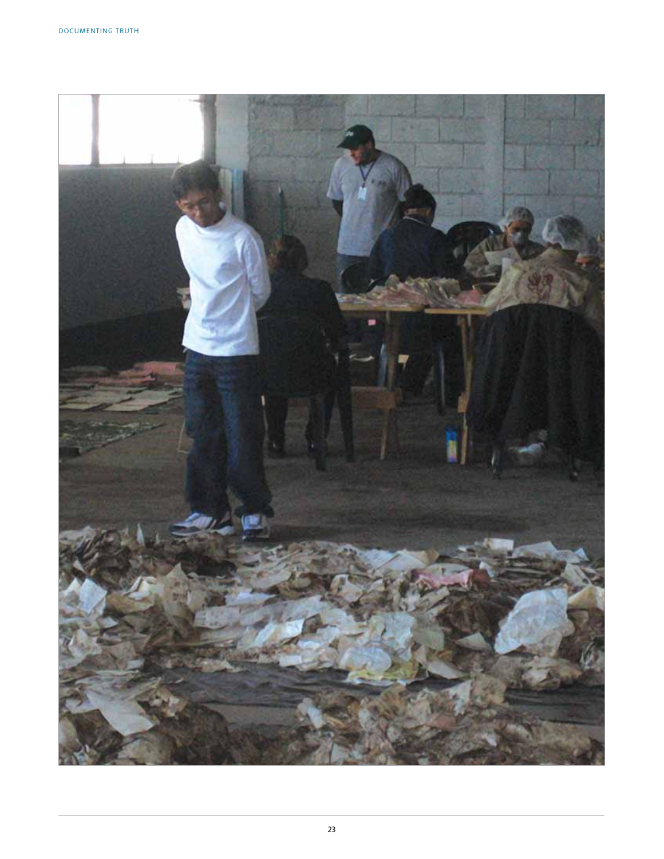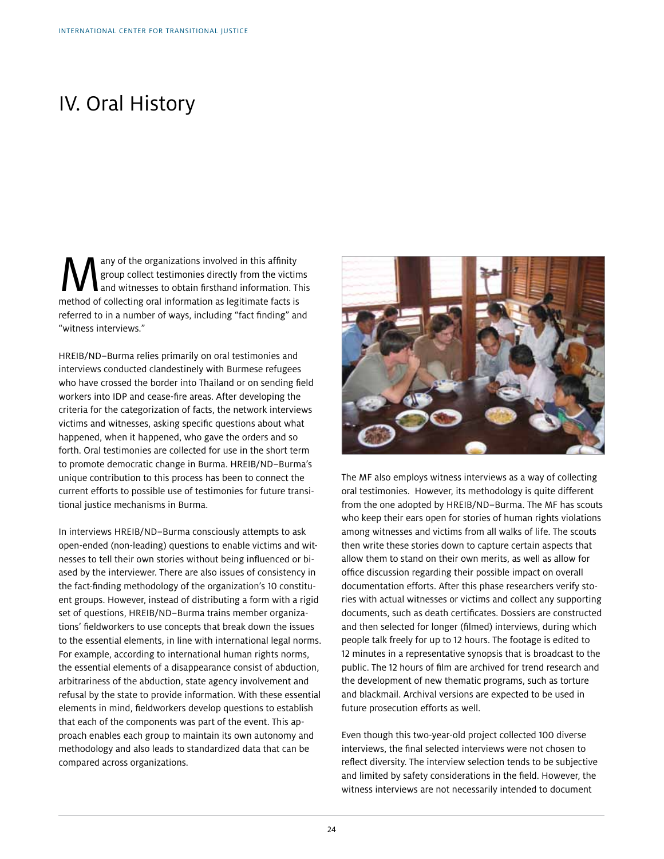# IV. Oral History

any of the organizations involved in this affinity<br>group collect testimonies directly from the victing<br>and witnesses to obtain firsthand information. The<br>perthod of collecting oral information as legitimate facts is group collect testimonies directly from the victims and witnesses to obtain firsthand information. This method of collecting oral information as legitimate facts is referred to in a number of ways, including "fact finding" and "witness interviews."

HREIB/ND–Burma relies primarily on oral testimonies and interviews conducted clandestinely with Burmese refugees who have crossed the border into Thailand or on sending field workers into IDP and cease-fire areas. After developing the criteria for the categorization of facts, the network interviews victims and witnesses, asking specific questions about what happened, when it happened, who gave the orders and so forth. Oral testimonies are collected for use in the short term to promote democratic change in Burma. HREIB/ND–Burma's unique contribution to this process has been to connect the current efforts to possible use of testimonies for future transitional justice mechanisms in Burma.

In interviews HREIB/ND–Burma consciously attempts to ask open-ended (non-leading) questions to enable victims and witnesses to tell their own stories without being influenced or biased by the interviewer. There are also issues of consistency in the fact-finding methodology of the organization's 10 constituent groups. However, instead of distributing a form with a rigid set of questions, HREIB/ND–Burma trains member organizations' fieldworkers to use concepts that break down the issues to the essential elements, in line with international legal norms. For example, according to international human rights norms, the essential elements of a disappearance consist of abduction, arbitrariness of the abduction, state agency involvement and refusal by the state to provide information. With these essential elements in mind, fieldworkers develop questions to establish that each of the components was part of the event. This approach enables each group to maintain its own autonomy and methodology and also leads to standardized data that can be compared across organizations.



The MF also employs witness interviews as a way of collecting oral testimonies. However, its methodology is quite different from the one adopted by HREIB/ND–Burma. The MF has scouts who keep their ears open for stories of human rights violations among witnesses and victims from all walks of life. The scouts then write these stories down to capture certain aspects that allow them to stand on their own merits, as well as allow for office discussion regarding their possible impact on overall documentation efforts. After this phase researchers verify stories with actual witnesses or victims and collect any supporting documents, such as death certificates. Dossiers are constructed and then selected for longer (filmed) interviews, during which people talk freely for up to 12 hours. The footage is edited to 12 minutes in a representative synopsis that is broadcast to the public. The 12 hours of film are archived for trend research and the development of new thematic programs, such as torture and blackmail. Archival versions are expected to be used in future prosecution efforts as well.

Even though this two-year-old project collected 100 diverse interviews, the final selected interviews were not chosen to reflect diversity. The interview selection tends to be subjective and limited by safety considerations in the field. However, the witness interviews are not necessarily intended to document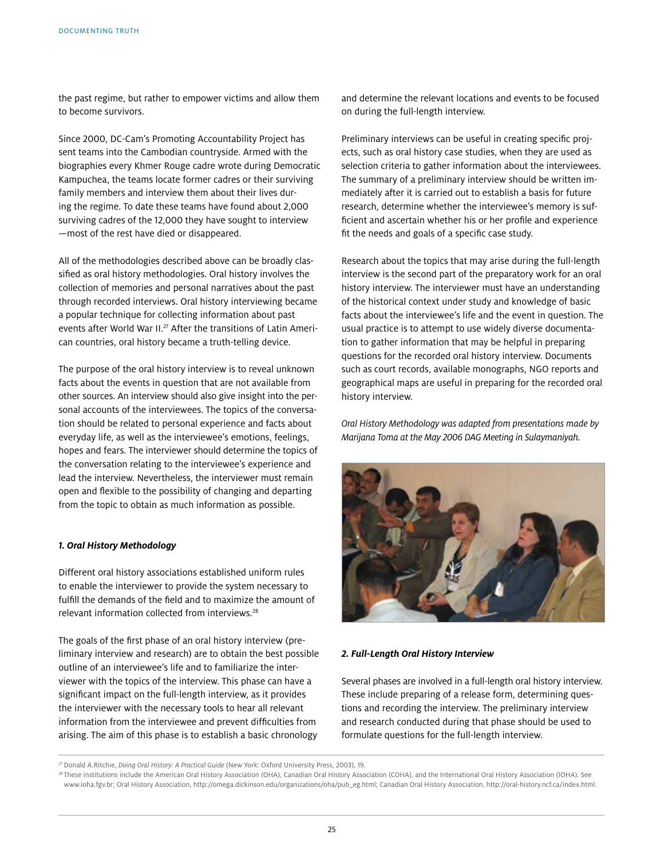the past regime, but rather to empower victims and allow them to become survivors.

Since 2000, DC-Cam's Promoting Accountability Project has sent teams into the Cambodian countryside. Armed with the biographies every Khmer Rouge cadre wrote during Democratic Kampuchea, the teams locate former cadres or their surviving family members and interview them about their lives during the regime. To date these teams have found about 2,000 surviving cadres of the 12,000 they have sought to interview —most of the rest have died or disappeared.

All of the methodologies described above can be broadly classified as oral history methodologies. Oral history involves the collection of memories and personal narratives about the past through recorded interviews. Oral history interviewing became a popular technique for collecting information about past events after World War II.27 After the transitions of Latin American countries, oral history became a truth-telling device.

The purpose of the oral history interview is to reveal unknown facts about the events in question that are not available from other sources. An interview should also give insight into the personal accounts of the interviewees. The topics of the conversation should be related to personal experience and facts about everyday life, as well as the interviewee's emotions, feelings, hopes and fears. The interviewer should determine the topics of the conversation relating to the interviewee's experience and lead the interview. Nevertheless, the interviewer must remain open and flexible to the possibility of changing and departing from the topic to obtain as much information as possible.

# *1. Oral History Methodology*

Different oral history associations established uniform rules to enable the interviewer to provide the system necessary to fulfill the demands of the field and to maximize the amount of relevant information collected from interviews.28

The goals of the first phase of an oral history interview (preliminary interview and research) are to obtain the best possible outline of an interviewee's life and to familiarize the interviewer with the topics of the interview. This phase can have a significant impact on the full-length interview, as it provides the interviewer with the necessary tools to hear all relevant information from the interviewee and prevent difficulties from arising. The aim of this phase is to establish a basic chronology

and determine the relevant locations and events to be focused on during the full-length interview.

Preliminary interviews can be useful in creating specific projects, such as oral history case studies, when they are used as selection criteria to gather information about the interviewees. The summary of a preliminary interview should be written immediately after it is carried out to establish a basis for future research, determine whether the interviewee's memory is sufficient and ascertain whether his or her profile and experience fit the needs and goals of a specific case study.

Research about the topics that may arise during the full-length interview is the second part of the preparatory work for an oral history interview. The interviewer must have an understanding of the historical context under study and knowledge of basic facts about the interviewee's life and the event in question. The usual practice is to attempt to use widely diverse documentation to gather information that may be helpful in preparing questions for the recorded oral history interview. Documents such as court records, available monographs, NGO reports and geographical maps are useful in preparing for the recorded oral history interview.

*Oral History Methodology was adapted from presentations made by Marijana Toma at the May 2006 DAG Meeting in Sulaymaniyah.*



#### *2. Full-Length Oral History Interview*

Several phases are involved in a full-length oral history interview. These include preparing of a release form, determining questions and recording the interview. The preliminary interview and research conducted during that phase should be used to formulate questions for the full-length interview.

<sup>&</sup>lt;sup>27</sup> Donald A.Ritchie, *Doing Oral History: A Practical Guide* (New York: Oxford University Press, 2003), 19.<br><sup>28</sup> These institutions include the American Oral History Association (OHA), Canadian Oral History Assochation ( www.ioha.fgv.br; Oral History Association, http://omega.dickinson.edu/organizations/oha/pub\_eg.html; Canadian Oral History Association, http://oral-history.ncf.ca/index.html.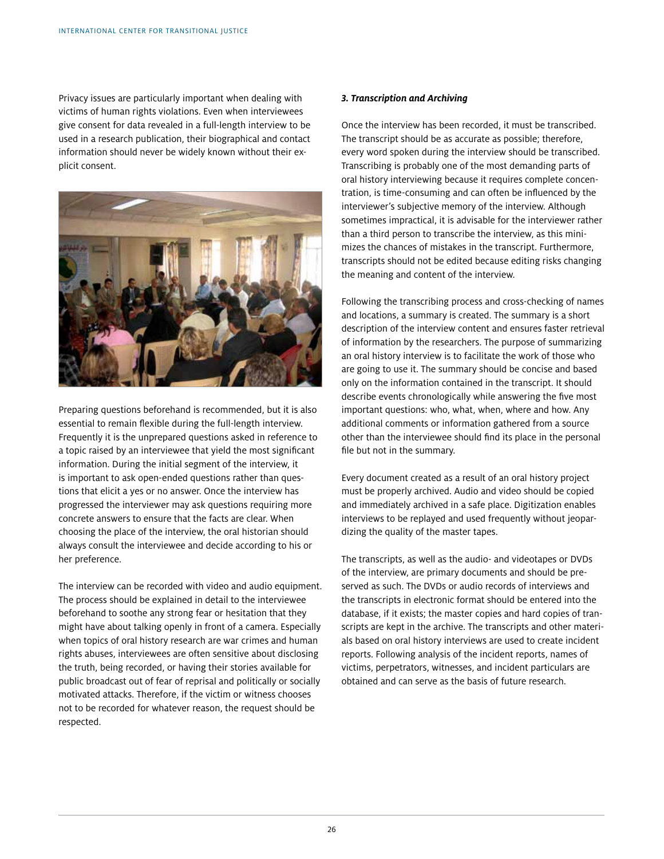Privacy issues are particularly important when dealing with victims of human rights violations. Even when interviewees give consent for data revealed in a full-length interview to be used in a research publication, their biographical and contact information should never be widely known without their explicit consent.



Preparing questions beforehand is recommended, but it is also essential to remain flexible during the full-length interview. Frequently it is the unprepared questions asked in reference to a topic raised by an interviewee that yield the most significant information. During the initial segment of the interview, it is important to ask open-ended questions rather than questions that elicit a yes or no answer. Once the interview has progressed the interviewer may ask questions requiring more concrete answers to ensure that the facts are clear. When choosing the place of the interview, the oral historian should always consult the interviewee and decide according to his or her preference.

The interview can be recorded with video and audio equipment. The process should be explained in detail to the interviewee beforehand to soothe any strong fear or hesitation that they might have about talking openly in front of a camera. Especially when topics of oral history research are war crimes and human rights abuses, interviewees are often sensitive about disclosing the truth, being recorded, or having their stories available for public broadcast out of fear of reprisal and politically or socially motivated attacks. Therefore, if the victim or witness chooses not to be recorded for whatever reason, the request should be respected.

# *3. Transcription and Archiving*

Once the interview has been recorded, it must be transcribed. The transcript should be as accurate as possible; therefore, every word spoken during the interview should be transcribed. Transcribing is probably one of the most demanding parts of oral history interviewing because it requires complete concentration, is time-consuming and can often be influenced by the interviewer's subjective memory of the interview. Although sometimes impractical, it is advisable for the interviewer rather than a third person to transcribe the interview, as this minimizes the chances of mistakes in the transcript. Furthermore, transcripts should not be edited because editing risks changing the meaning and content of the interview.

Following the transcribing process and cross-checking of names and locations, a summary is created. The summary is a short description of the interview content and ensures faster retrieval of information by the researchers. The purpose of summarizing an oral history interview is to facilitate the work of those who are going to use it. The summary should be concise and based only on the information contained in the transcript. It should describe events chronologically while answering the five most important questions: who, what, when, where and how. Any additional comments or information gathered from a source other than the interviewee should find its place in the personal file but not in the summary.

Every document created as a result of an oral history project must be properly archived. Audio and video should be copied and immediately archived in a safe place. Digitization enables interviews to be replayed and used frequently without jeopardizing the quality of the master tapes.

The transcripts, as well as the audio- and videotapes or DVDs of the interview, are primary documents and should be preserved as such. The DVDs or audio records of interviews and the transcripts in electronic format should be entered into the database, if it exists; the master copies and hard copies of transcripts are kept in the archive. The transcripts and other materials based on oral history interviews are used to create incident reports. Following analysis of the incident reports, names of victims, perpetrators, witnesses, and incident particulars are obtained and can serve as the basis of future research.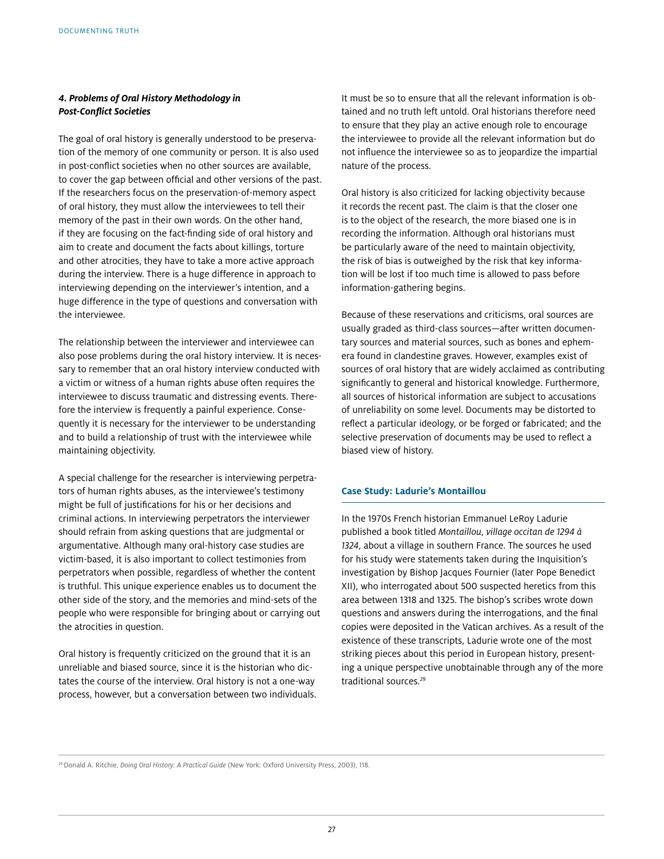# *4. Problems of Oral History Methodology in Post-Conflict Societies*

The goal of oral history is generally understood to be preservation of the memory of one community or person. It is also used in post-conflict societies when no other sources are available, to cover the gap between official and other versions of the past. If the researchers focus on the preservation-of-memory aspect of oral history, they must allow the interviewees to tell their memory of the past in their own words. On the other hand, if they are focusing on the fact-finding side of oral history and aim to create and document the facts about killings, torture and other atrocities, they have to take a more active approach during the interview. There is a huge difference in approach to interviewing depending on the interviewer's intention, and a huge difference in the type of questions and conversation with the interviewee.

The relationship between the interviewer and interviewee can also pose problems during the oral history interview. It is necessary to remember that an oral history interview conducted with a victim or witness of a human rights abuse often requires the interviewee to discuss traumatic and distressing events. Therefore the interview is frequently a painful experience. Consequently it is necessary for the interviewer to be understanding and to build a relationship of trust with the interviewee while maintaining objectivity.

A special challenge for the researcher is interviewing perpetrators of human rights abuses, as the interviewee's testimony might be full of justifications for his or her decisions and criminal actions. In interviewing perpetrators the interviewer should refrain from asking questions that are judgmental or argumentative. Although many oral-history case studies are victim-based, it is also important to collect testimonies from perpetrators when possible, regardless of whether the content is truthful. This unique experience enables us to document the other side of the story, and the memories and mind-sets of the people who were responsible for bringing about or carrying out the atrocities in question.

Oral history is frequently criticized on the ground that it is an unreliable and biased source, since it is the historian who dictates the course of the interview. Oral history is not a one-way process, however, but a conversation between two individuals. It must be so to ensure that all the relevant information is obtained and no truth left untold. Oral historians therefore need to ensure that they play an active enough role to encourage the interviewee to provide all the relevant information but do not influence the interviewee so as to jeopardize the impartial nature of the process.

Oral history is also criticized for lacking objectivity because it records the recent past. The claim is that the closer one is to the object of the research, the more biased one is in recording the information. Although oral historians must be particularly aware of the need to maintain objectivity, the risk of bias is outweighed by the risk that key information will be lost if too much time is allowed to pass before information-gathering begins.

Because of these reservations and criticisms, oral sources are usually graded as third-class sources—after written documentary sources and material sources, such as bones and ephemera found in clandestine graves. However, examples exist of sources of oral history that are widely acclaimed as contributing significantly to general and historical knowledge. Furthermore, all sources of historical information are subject to accusations of unreliability on some level. Documents may be distorted to reflect a particular ideology, or be forged or fabricated; and the selective preservation of documents may be used to reflect a biased view of history.

# **Case Study: Ladurie's Montaillou**

In the 1970s French historian Emmanuel LeRoy Ladurie published a book titled *Montaillou, village occitan de 1294 à 1324,* about a village in southern France. The sources he used for his study were statements taken during the Inquisition's investigation by Bishop Jacques Fournier (later Pope Benedict XII), who interrogated about 500 suspected heretics from this area between 1318 and 1325. The bishop's scribes wrote down questions and answers during the interrogations, and the final copies were deposited in the Vatican archives. As a result of the existence of these transcripts, Ladurie wrote one of the most striking pieces about this period in European history, presenting a unique perspective unobtainable through any of the more traditional sources.29

<sup>29</sup> Donald A. Ritchie, *Doing Oral History: A Practical Guide* (New York: Oxford University Press, 2003), 118.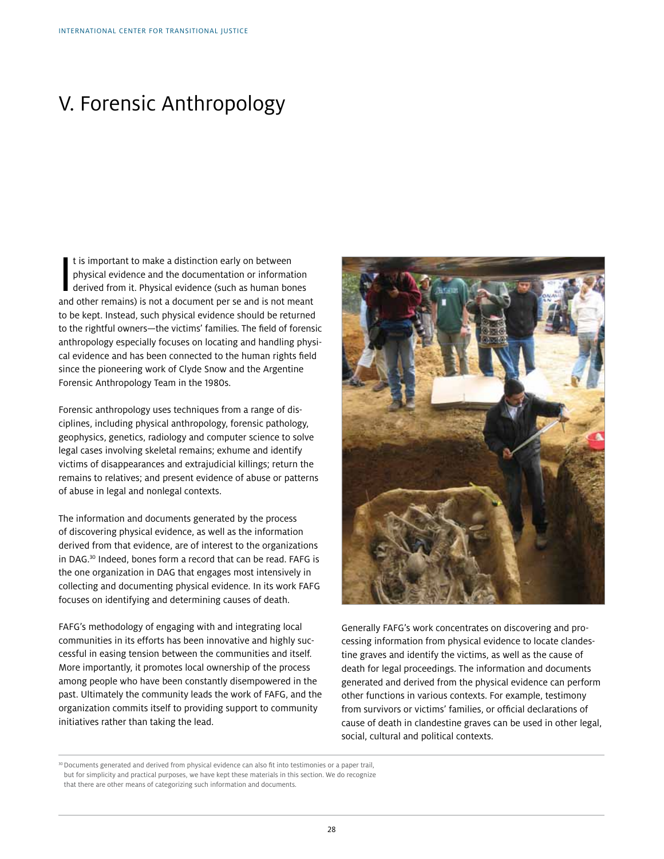# V. Forensic Anthropology

I is important to make a distinction early on between<br>physical evidence and the documentation or information<br>derived from it. Physical evidence (such as human bones<br>and other remains) is not a document per se and is not me t is important to make a distinction early on between physical evidence and the documentation or information derived from it. Physical evidence (such as human bones to be kept. Instead, such physical evidence should be returned to the rightful owners—the victims' families. The field of forensic anthropology especially focuses on locating and handling physical evidence and has been connected to the human rights field since the pioneering work of Clyde Snow and the Argentine Forensic Anthropology Team in the 1980s.

Forensic anthropology uses techniques from a range of disciplines, including physical anthropology, forensic pathology, geophysics, genetics, radiology and computer science to solve legal cases involving skeletal remains; exhume and identify victims of disappearances and extrajudicial killings; return the remains to relatives; and present evidence of abuse or patterns of abuse in legal and nonlegal contexts.

The information and documents generated by the process of discovering physical evidence, as well as the information derived from that evidence, are of interest to the organizations in DAG.<sup>30</sup> Indeed, bones form a record that can be read. FAFG is the one organization in DAG that engages most intensively in collecting and documenting physical evidence. In its work FAFG focuses on identifying and determining causes of death.

FAFG's methodology of engaging with and integrating local communities in its efforts has been innovative and highly successful in easing tension between the communities and itself. More importantly, it promotes local ownership of the process among people who have been constantly disempowered in the past. Ultimately the community leads the work of FAFG, and the organization commits itself to providing support to community initiatives rather than taking the lead.



Generally FAFG's work concentrates on discovering and processing information from physical evidence to locate clandestine graves and identify the victims, as well as the cause of death for legal proceedings. The information and documents generated and derived from the physical evidence can perform other functions in various contexts. For example, testimony from survivors or victims' families, or official declarations of cause of death in clandestine graves can be used in other legal, social, cultural and political contexts.

<sup>30</sup> Documents generated and derived from physical evidence can also fit into testimonies or a paper trail, but for simplicity and practical purposes, we have kept these materials in this section. We do recognize that there are other means of categorizing such information and documents.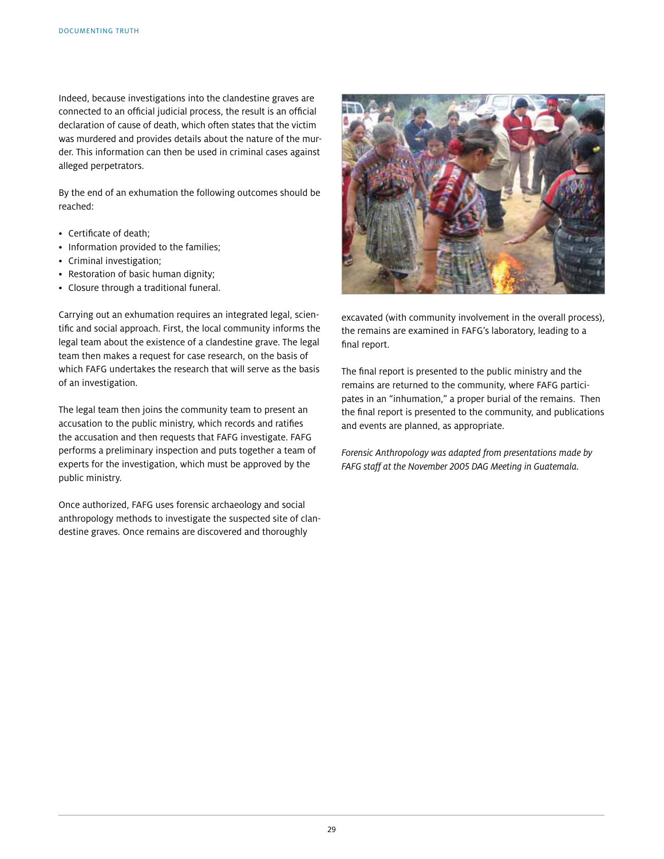Indeed, because investigations into the clandestine graves are connected to an official judicial process, the result is an official declaration of cause of death, which often states that the victim was murdered and provides details about the nature of the murder. This information can then be used in criminal cases against alleged perpetrators.

By the end of an exhumation the following outcomes should be reached:

- Certificate of death;
- Information provided to the families;
- Criminal investigation;
- Restoration of basic human dignity;
- • Closure through a traditional funeral.

Carrying out an exhumation requires an integrated legal, scientific and social approach. First, the local community informs the legal team about the existence of a clandestine grave. The legal team then makes a request for case research, on the basis of which FAFG undertakes the research that will serve as the basis of an investigation.

The legal team then joins the community team to present an accusation to the public ministry, which records and ratifies the accusation and then requests that FAFG investigate. FAFG performs a preliminary inspection and puts together a team of experts for the investigation, which must be approved by the public ministry.

Once authorized, FAFG uses forensic archaeology and social anthropology methods to investigate the suspected site of clandestine graves. Once remains are discovered and thoroughly



excavated (with community involvement in the overall process), the remains are examined in FAFG's laboratory, leading to a final report.

The final report is presented to the public ministry and the remains are returned to the community, where FAFG participates in an "inhumation," a proper burial of the remains. Then the final report is presented to the community, and publications and events are planned, as appropriate.

*Forensic Anthropology was adapted from presentations made by FAFG staff at the November 2005 DAG Meeting in Guatemala.*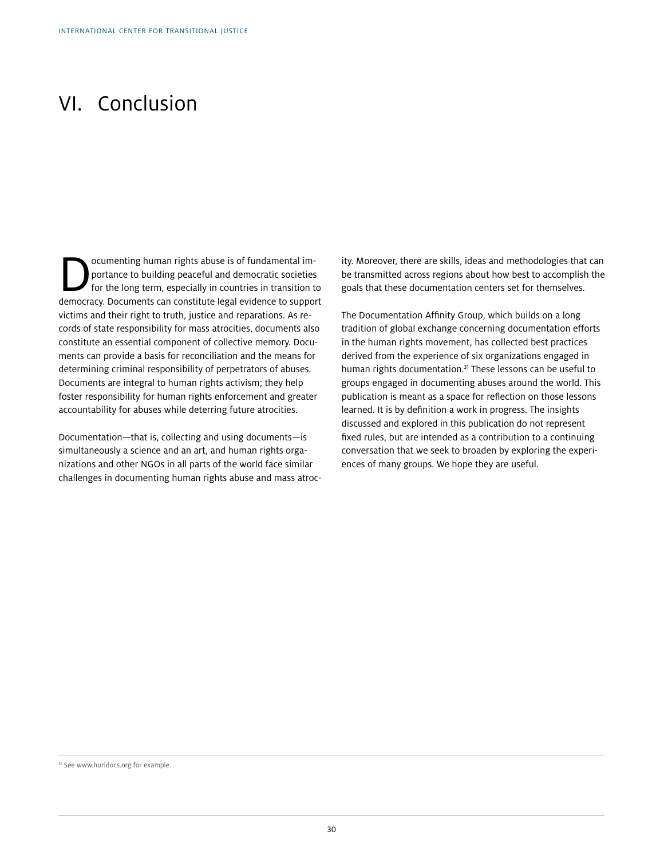# VI. Conclusion

ocumenting human rights abuse is of fundamental importance to building peaceful and democratic societies for the long term, especially in countries in transition to democracy. Documents can constitute legal evidence to support victims and their right to truth, justice and reparations. As records of state responsibility for mass atrocities, documents also constitute an essential component of collective memory. Documents can provide a basis for reconciliation and the means for determining criminal responsibility of perpetrators of abuses. Documents are integral to human rights activism; they help foster responsibility for human rights enforcement and greater accountability for abuses while deterring future atrocities.

Documentation—that is, collecting and using documents—is simultaneously a science and an art, and human rights organizations and other NGOs in all parts of the world face similar challenges in documenting human rights abuse and mass atrocity. Moreover, there are skills, ideas and methodologies that can be transmitted across regions about how best to accomplish the goals that these documentation centers set for themselves.

The Documentation Affinity Group, which builds on a long tradition of global exchange concerning documentation efforts in the human rights movement, has collected best practices derived from the experience of six organizations engaged in human rights documentation.<sup>31</sup> These lessons can be useful to groups engaged in documenting abuses around the world. This publication is meant as a space for reflection on those lessons learned. It is by definition a work in progress. The insights discussed and explored in this publication do not represent fixed rules, but are intended as a contribution to a continuing conversation that we seek to broaden by exploring the experiences of many groups. We hope they are useful.

<sup>&</sup>lt;sup>31</sup> See www.huridocs.org for example.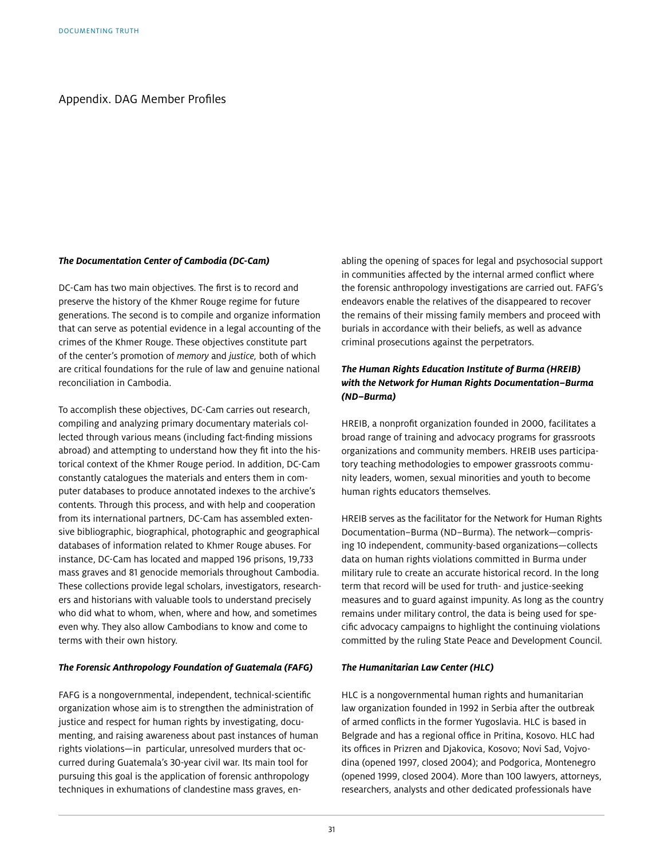# Appendix. DAG Member Profiles

## *The Documentation Center of Cambodia (DC-Cam)*

DC-Cam has two main objectives. The first is to record and preserve the history of the Khmer Rouge regime for future generations. The second is to compile and organize information that can serve as potential evidence in a legal accounting of the crimes of the Khmer Rouge. These objectives constitute part of the center's promotion of *memory* and *justice,* both of which are critical foundations for the rule of law and genuine national reconciliation in Cambodia.

To accomplish these objectives, DC-Cam carries out research, compiling and analyzing primary documentary materials collected through various means (including fact-finding missions abroad) and attempting to understand how they fit into the historical context of the Khmer Rouge period. In addition, DC-Cam constantly catalogues the materials and enters them in computer databases to produce annotated indexes to the archive's contents. Through this process, and with help and cooperation from its international partners, DC-Cam has assembled extensive bibliographic, biographical, photographic and geographical databases of information related to Khmer Rouge abuses. For instance, DC-Cam has located and mapped 196 prisons, 19,733 mass graves and 81 genocide memorials throughout Cambodia. These collections provide legal scholars, investigators, researchers and historians with valuable tools to understand precisely who did what to whom, when, where and how, and sometimes even why. They also allow Cambodians to know and come to terms with their own history.

# *The Forensic Anthropology Foundation of Guatemala (FAFG)*

FAFG is a nongovernmental, independent, technical-scientific organization whose aim is to strengthen the administration of justice and respect for human rights by investigating, documenting, and raising awareness about past instances of human rights violations—in particular, unresolved murders that occurred during Guatemala's 30-year civil war. Its main tool for pursuing this goal is the application of forensic anthropology techniques in exhumations of clandestine mass graves, enabling the opening of spaces for legal and psychosocial support in communities affected by the internal armed conflict where the forensic anthropology investigations are carried out. FAFG's endeavors enable the relatives of the disappeared to recover the remains of their missing family members and proceed with burials in accordance with their beliefs, as well as advance criminal prosecutions against the perpetrators.

# *The Human Rights Education Institute of Burma (HREIB) with the Network for Human Rights Documentation–Burma (ND–Burma)*

HREIB, a nonprofit organization founded in 2000, facilitates a broad range of training and advocacy programs for grassroots organizations and community members. HREIB uses participatory teaching methodologies to empower grassroots community leaders, women, sexual minorities and youth to become human rights educators themselves.

HREIB serves as the facilitator for the Network for Human Rights Documentation–Burma (ND–Burma). The network—comprising 10 independent, community-based organizations—collects data on human rights violations committed in Burma under military rule to create an accurate historical record. In the long term that record will be used for truth- and justice-seeking measures and to guard against impunity. As long as the country remains under military control, the data is being used for specific advocacy campaigns to highlight the continuing violations committed by the ruling State Peace and Development Council.

# *The Humanitarian Law Center (HLC)*

HLC is a nongovernmental human rights and humanitarian law organization founded in 1992 in Serbia after the outbreak of armed conflicts in the former Yugoslavia. HLC is based in Belgrade and has a regional office in Pritina, Kosovo. HLC had its offices in Prizren and Djakovica, Kosovo; Novi Sad, Vojvodina (opened 1997, closed 2004); and Podgorica, Montenegro (opened 1999, closed 2004). More than 100 lawyers, attorneys, researchers, analysts and other dedicated professionals have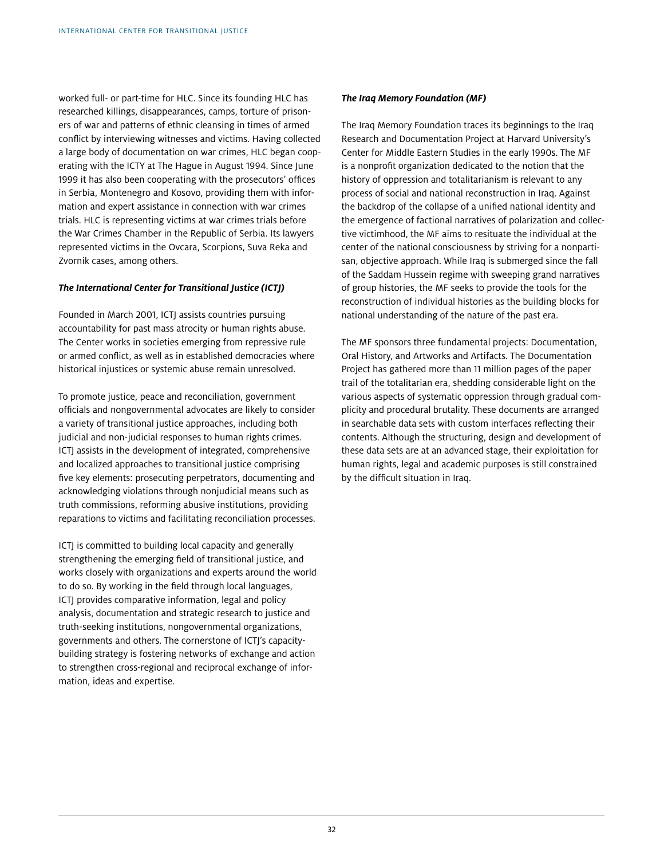worked full- or part-time for HLC. Since its founding HLC has researched killings, disappearances, camps, torture of prisoners of war and patterns of ethnic cleansing in times of armed conflict by interviewing witnesses and victims. Having collected a large body of documentation on war crimes, HLC began cooperating with the ICTY at The Hague in August 1994. Since June 1999 it has also been cooperating with the prosecutors' offices in Serbia, Montenegro and Kosovo, providing them with information and expert assistance in connection with war crimes trials. HLC is representing victims at war crimes trials before the War Crimes Chamber in the Republic of Serbia. Its lawyers represented victims in the Ovcara, Scorpions, Suva Reka and Zvornik cases, among others.

# *The International Center for Transitional Justice (ICTJ)*

Founded in March 2001, ICTJ assists countries pursuing accountability for past mass atrocity or human rights abuse. The Center works in societies emerging from repressive rule or armed conflict, as well as in established democracies where historical injustices or systemic abuse remain unresolved.

To promote justice, peace and reconciliation, government officials and nongovernmental advocates are likely to consider a variety of transitional justice approaches, including both judicial and non-judicial responses to human rights crimes. ICTJ assists in the development of integrated, comprehensive and localized approaches to transitional justice comprising five key elements: prosecuting perpetrators, documenting and acknowledging violations through nonjudicial means such as truth commissions, reforming abusive institutions, providing reparations to victims and facilitating reconciliation processes.

ICTJ is committed to building local capacity and generally strengthening the emerging field of transitional justice, and works closely with organizations and experts around the world to do so. By working in the field through local languages, ICTJ provides comparative information, legal and policy analysis, documentation and strategic research to justice and truth-seeking institutions, nongovernmental organizations, governments and others. The cornerstone of ICTJ's capacitybuilding strategy is fostering networks of exchange and action to strengthen cross-regional and reciprocal exchange of information, ideas and expertise.

# *The Iraq Memory Foundation (MF)*

The Iraq Memory Foundation traces its beginnings to the Iraq Research and Documentation Project at Harvard University's Center for Middle Eastern Studies in the early 1990s. The MF is a nonprofit organization dedicated to the notion that the history of oppression and totalitarianism is relevant to any process of social and national reconstruction in Iraq. Against the backdrop of the collapse of a unified national identity and the emergence of factional narratives of polarization and collective victimhood, the MF aims to resituate the individual at the center of the national consciousness by striving for a nonpartisan, objective approach. While Iraq is submerged since the fall of the Saddam Hussein regime with sweeping grand narratives of group histories, the MF seeks to provide the tools for the reconstruction of individual histories as the building blocks for national understanding of the nature of the past era.

The MF sponsors three fundamental projects: Documentation, Oral History, and Artworks and Artifacts. The Documentation Project has gathered more than 11 million pages of the paper trail of the totalitarian era, shedding considerable light on the various aspects of systematic oppression through gradual complicity and procedural brutality. These documents are arranged in searchable data sets with custom interfaces reflecting their contents. Although the structuring, design and development of these data sets are at an advanced stage, their exploitation for human rights, legal and academic purposes is still constrained by the difficult situation in Iraq.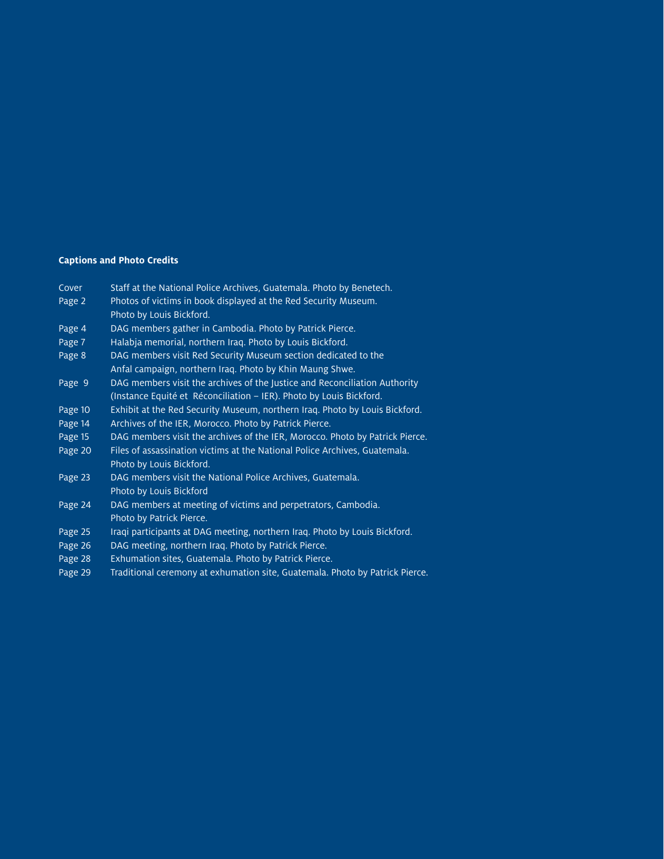# **Captions and Photo Credits**

| Cover   | Staff at the National Police Archives, Guatemala. Photo by Benetech.                                                                              |
|---------|---------------------------------------------------------------------------------------------------------------------------------------------------|
| Page 2  | Photos of victims in book displayed at the Red Security Museum.<br>Photo by Louis Bickford.                                                       |
| Page 4  | DAG members gather in Cambodia. Photo by Patrick Pierce.                                                                                          |
| Page 7  | Halabja memorial, northern Iraq. Photo by Louis Bickford.                                                                                         |
| Page 8  | DAG members visit Red Security Museum section dedicated to the                                                                                    |
|         | Anfal campaign, northern Iraq. Photo by Khin Maung Shwe.                                                                                          |
| Page 9  | DAG members visit the archives of the Justice and Reconciliation Authority<br>(Instance Equité et Réconciliation - IER). Photo by Louis Bickford. |
| Page 10 | Exhibit at the Red Security Museum, northern Iraq. Photo by Louis Bickford.                                                                       |
| Page 14 | Archives of the IER, Morocco. Photo by Patrick Pierce.                                                                                            |
| Page 15 | DAG members visit the archives of the IER, Morocco. Photo by Patrick Pierce.                                                                      |
| Page 20 | Files of assassination victims at the National Police Archives, Guatemala.<br>Photo by Louis Bickford.                                            |
| Page 23 | DAG members visit the National Police Archives, Guatemala.<br>Photo by Louis Bickford                                                             |
| Page 24 | DAG members at meeting of victims and perpetrators, Cambodia.<br>Photo by Patrick Pierce.                                                         |
| Page 25 | Iraqi participants at DAG meeting, northern Iraq. Photo by Louis Bickford.                                                                        |
| Page 26 | DAG meeting, northern Iraq. Photo by Patrick Pierce.                                                                                              |
| Page 28 | Exhumation sites, Guatemala. Photo by Patrick Pierce.                                                                                             |

Page 29 Traditional ceremony at exhumation site, Guatemala. Photo by Patrick Pierce.